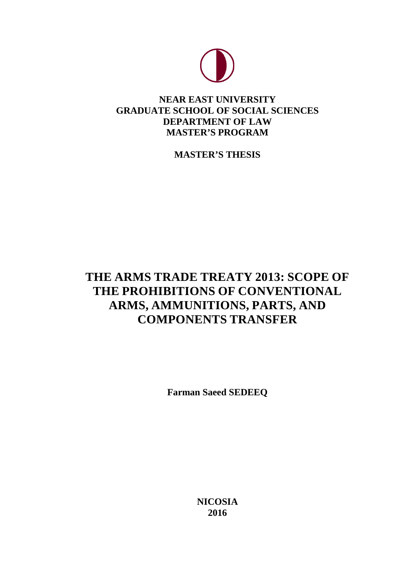

# **NEAR EAST UNIVERSITY GRADUATE SCHOOL OF SOCIAL SCIENCES DEPARTMENT OF LAW MASTER'S PROGRAM**

**MASTER'S THESIS**

# **THE ARMS TRADE TREATY 2013: SCOPE OF THE PROHIBITIONS OF CONVENTIONAL ARMS, AMMUNITIONS, PARTS, AND COMPONENTS TRANSFER**

**Farman Saeed SEDEEQ**

**NICOSIA 2016**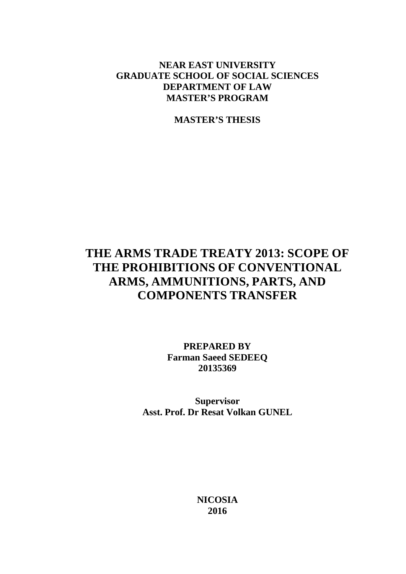# **NEAR EAST UNIVERSITY GRADUATE SCHOOL OF SOCIAL SCIENCES DEPARTMENT OF LAW MASTER'S PROGRAM**

**MASTER'S THESIS**

# **THE ARMS TRADE TREATY 2013: SCOPE OF THE PROHIBITIONS OF CONVENTIONAL ARMS, AMMUNITIONS, PARTS, AND COMPONENTS TRANSFER**

**PREPARED BY Farman Saeed SEDEEQ 20135369**

**Supervisor Asst. Prof. Dr Resat Volkan GUNEL**

> **NICOSIA 2016**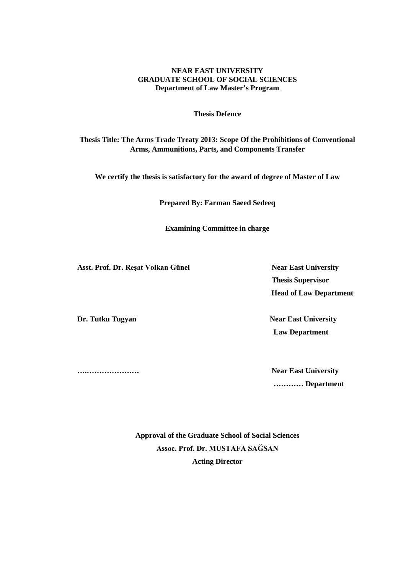#### **NEAR EAST UNIVERSITY GRADUATE SCHOOL OF SOCIAL SCIENCES Department of Law Master's Program**

#### **Thesis Defence**

**Thesis Title: The Arms Trade Treaty 2013: Scope Of the Prohibitions of Conventional Arms, Ammunitions, Parts, and Components Transfer**

**We certify the thesis is satisfactory for the award of degree of Master of Law**

**Prepared By: Farman Saeed Sedeeq**

**Examining Committee in charge** 

**Asst. Prof. Dr. Reşat Volkan Günel Near East University**

 **Thesis Supervisor Head of Law Department**

**Dr. Tutku Tugyan Near East University Law Department** 

**….………………… Near East University ………… Department**

> **Approval of the Graduate School of Social Sciences Assoc. Prof. Dr. MUSTAFA SAĞSAN Acting Director**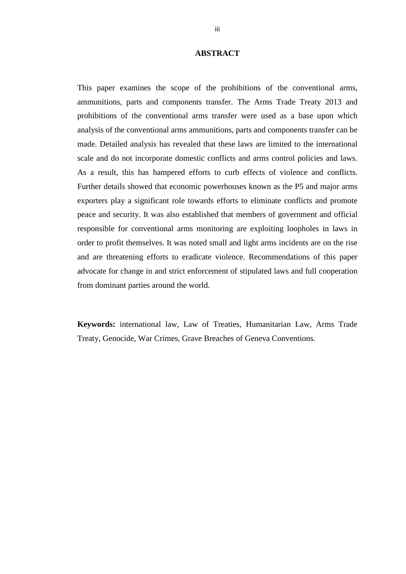### **ABSTRACT**

<span id="page-3-0"></span>This paper examines the scope of the prohibitions of the conventional arms, ammunitions, parts and components transfer. The Arms Trade Treaty 2013 and prohibitions of the conventional arms transfer were used as a base upon which analysis of the conventional arms ammunitions, parts and components transfer can be made. Detailed analysis has revealed that these laws are limited to the international scale and do not incorporate domestic conflicts and arms control policies and laws. As a result, this has hampered efforts to curb effects of violence and conflicts. Further details showed that economic powerhouses known as the P5 and major arms exporters play a significant role towards efforts to eliminate conflicts and promote peace and security. It was also established that members of government and official responsible for conventional arms monitoring are exploiting loopholes in laws in order to profit themselves. It was noted small and light arms incidents are on the rise and are threatening efforts to eradicate violence. Recommendations of this paper advocate for change in and strict enforcement of stipulated laws and full cooperation from dominant parties around the world.

**Keywords:** international law, Law of Treaties, Humanitarian Law, Arms Trade Treaty, Genocide, War Crimes, Grave Breaches of Geneva Conventions.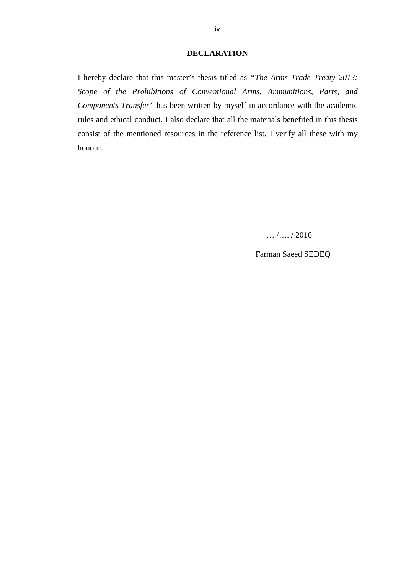#### **DECLARATION**

<span id="page-4-0"></span>I hereby declare that this master's thesis titled as *"The Arms Trade Treaty 2013: Scope of the Prohibitions of Conventional Arms, Ammunitions, Parts, and Components Transfer"* has been written by myself in accordance with the academic rules and ethical conduct. I also declare that all the materials benefited in this thesis consist of the mentioned resources in the reference list. I verify all these with my honour.

 $\ldots$  / ... / 2016

Farman Saeed SEDEQ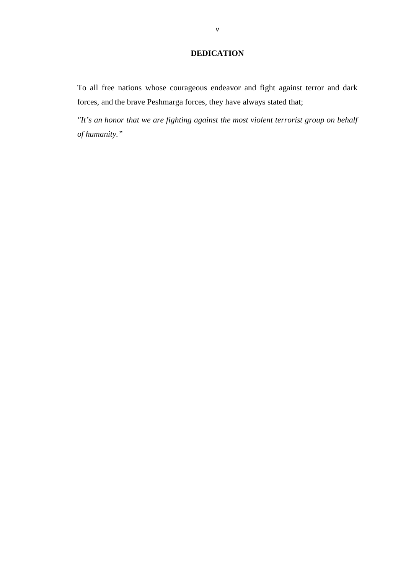# **DEDICATION**

<span id="page-5-0"></span>To all free nations whose courageous endeavor and fight against terror and dark forces, and the brave Peshmarga forces, they have always stated that;

*"It's an honor that we are fighting against the most violent terrorist group on behalf of humanity."*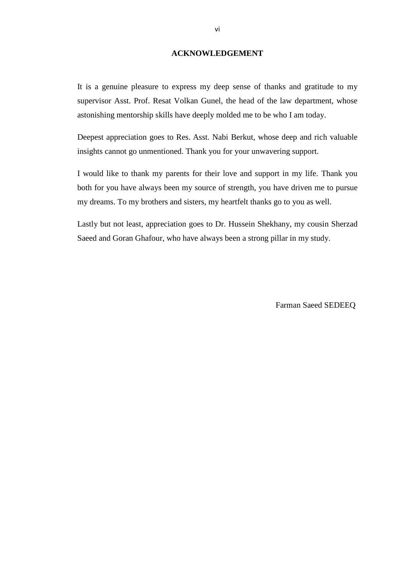#### **ACKNOWLEDGEMENT**

<span id="page-6-0"></span>It is a genuine pleasure to express my deep sense of thanks and gratitude to my supervisor Asst. Prof. Resat Volkan Gunel, the head of the law department, whose astonishing mentorship skills have deeply molded me to be who I am today.

Deepest appreciation goes to Res. Asst. Nabi Berkut, whose deep and rich valuable insights cannot go unmentioned. Thank you for your unwavering support.

I would like to thank my parents for their love and support in my life. Thank you both for you have always been my source of strength, you have driven me to pursue my dreams. To my brothers and sisters, my heartfelt thanks go to you as well.

Lastly but not least, appreciation goes to Dr. Hussein Shekhany, my cousin Sherzad Saeed and Goran Ghafour, who have always been a strong pillar in my study.

Farman Saeed SEDEEQ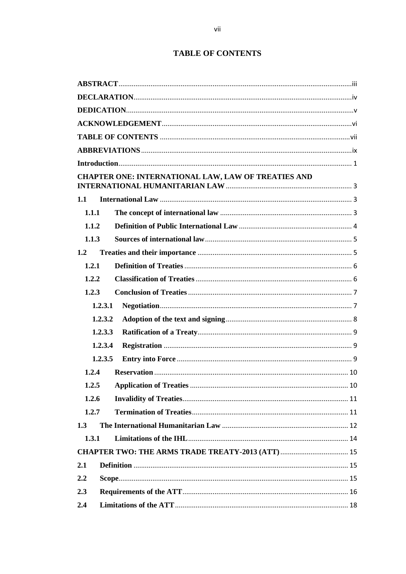# **TABLE OF CONTENTS**

<span id="page-7-0"></span>

|       | CHAPTER ONE: INTERNATIONAL LAW, LAW OF TREATIES AND |  |  |
|-------|-----------------------------------------------------|--|--|
| 1.1   |                                                     |  |  |
| 1.1.1 |                                                     |  |  |
| 1.1.2 |                                                     |  |  |
| 1.1.3 |                                                     |  |  |
| 1.2   |                                                     |  |  |
| 1.2.1 |                                                     |  |  |
| 1.2.2 |                                                     |  |  |
| 1.2.3 |                                                     |  |  |
|       | 1.2.3.1                                             |  |  |
|       | 1.2.3.2                                             |  |  |
|       | 1.2.3.3                                             |  |  |
|       | 1.2.3.4                                             |  |  |
|       | 1.2.3.5                                             |  |  |
| 1.2.4 |                                                     |  |  |
|       | 10                                                  |  |  |
| 1.2.6 |                                                     |  |  |
| 1.2.7 |                                                     |  |  |
| 1.3   |                                                     |  |  |
| 1.3.1 |                                                     |  |  |
|       |                                                     |  |  |
| 2.1   |                                                     |  |  |
| 2.2   |                                                     |  |  |
| 2.3   |                                                     |  |  |
| 2.4   |                                                     |  |  |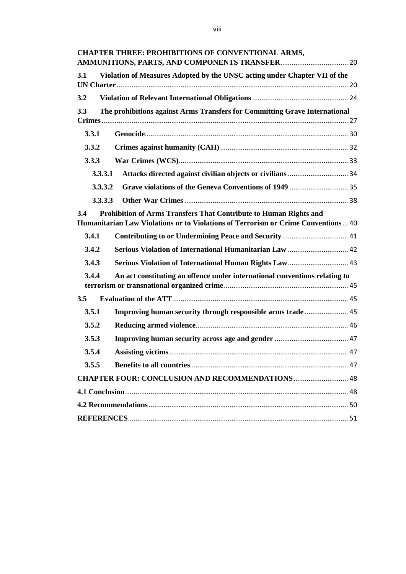**[CHAPTER THREE: PROHIBITIONS OF CONVENTIONAL ARMS,](#page-30-0)  [AMMUNITIONS, PARTS, AND COMPONENTS TRANSFER](#page-30-0)**.................................... 20 **3.1 [Violation of Measures Adopted by the UNSC acting under Chapter VII of the](#page-30-1)  UN Charter**[...........................................................................................................................](#page-30-1) 20 **3.2 [Violation of Relevant International Obligations](#page-34-0)**................................................... 24 **3.3 [The prohibitions against Arms Transfers for Committing Grave International](#page-37-0)  Crimes**[...................................................................................................................................](#page-37-0) 27 **3.3.1 Genocide**[............................................................................................................](#page-40-0) 30 **3.3.2 Crimes against humanity (CAH)**[....................................................................](#page-42-0) 32 **3.3.3 War Crimes (WCS)**[..........................................................................................](#page-43-0) 33 **3.3.3.1 [Attacks directed against civilian objects or civilians](#page-44-0)**................................ 34 **3.3.3.2 [Grave violations of the Geneva Conventions of 1949](#page-45-0)** ............................... 35 **3.3.3.3 Other War Crimes**[.......................................................................................](#page-48-0) 38 **3.4 [Prohibition of Arms Transfers That Contribute to Human Rights and](#page-50-0)  [Humanitarian Law Violations or to Violations of Terrorism or Crime Conventions](#page-50-0)**... 40 **3.4.1 [Contributing to or Undermining Peace and Security](#page-51-0)**................................... 41 **3.4.2 [Serious Violation of International Humanitarian Law](#page-52-0)** ................................ 42 **3.4.3 [Serious Violation of International Human Rights Law](#page-53-0)**................................ 43 **3.4.4 [An act constituting an offence under international conventions relating to](#page-55-0)  [terrorism or transnational organized crime](#page-55-0)**.................................................................. 45 **3.5 Evaluation of the ATT**[.............................................................................................](#page-55-1) 45 **3.5.1 [Improving human security through responsible arms trade](#page-55-2)** ....................... 45 **3.5.2 Reducing armed violence**[.................................................................................](#page-56-0) 46 **3.5.3 [Improving human security across age and gender](#page-57-0)** ....................................... 47 **3.5.4 Assisting victims**[...............................................................................................](#page-57-1) 47 **3.5.5 Benefits to all countries**[....................................................................................](#page-57-2) 47 **[CHAPTER FOUR: CONCLUSION AND RECOMMENDATIONS](#page-58-0)**............................. 48 **4.1 Conclusion** [......................................................................................................................](#page-58-1) 48 **4.2 Recommendations**[..........................................................................................................](#page-60-0) 50 **REFERENCES**[.....................................................................................................................](#page-61-0) 51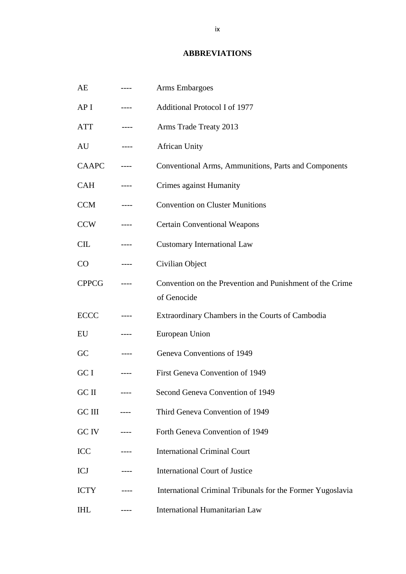#### **ABBREVIATIONS**

<span id="page-9-0"></span>AE ---- Arms Embargoes AP I ---- Additional Protocol I of 1977 ATT ---- Arms Trade Treaty 2013 AU ---- African Unity CAAPC ---- Conventional Arms, Ammunitions, Parts and Components CAH ---- Crimes against Humanity CCM ---- Convention on Cluster Munitions CCW ---- Certain Conventional Weapons CIL ---- Customary International Law CO ---- Civilian Object CPPCG ---- Convention on the Prevention and Punishment of the Crime of Genocide ECCC ---- Extraordinary Chambers in the Courts of Cambodia EU ---- European Union GC ---- Geneva Conventions of 1949 GC I ---- First Geneva Convention of 1949 GC II ---- Second Geneva Convention of 1949 GC III ---- Third Geneva Convention of 1949 GC IV ---- Forth Geneva Convention of 1949 ICC ---- International Criminal Court ICJ ---- International Court of Justice ICTY ---- International Criminal Tribunals for the Former Yugoslavia IHL ---- International Humanitarian Law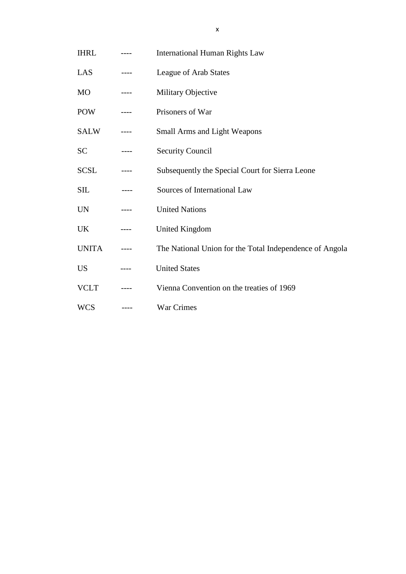- IHRL ---- International Human Rights Law
- LAS ---- League of Arab States
- MO ---- Military Objective
- POW ---- Prisoners of War
- SALW ---- Small Arms and Light Weapons
- SC ---- Security Council
- SCSL ---- Subsequently the Special Court for Sierra Leone
- SIL ---- Sources of International Law
- UN ---- United Nations
- UK ---- United Kingdom
- UNITA ---- The National Union for the Total Independence of Angola
- US ---- United States
- VCLT ---- Vienna Convention on the treaties of 1969
- WCS ---- War Crimes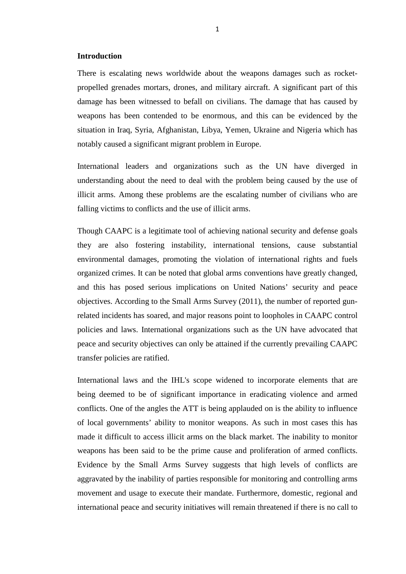#### <span id="page-11-0"></span>**Introduction**

There is escalating news worldwide about the weapons damages such as rocketpropelled grenades mortars, drones, and military aircraft. A significant part of this damage has been witnessed to befall on civilians. The damage that has caused by weapons has been contended to be enormous, and this can be evidenced by the situation in Iraq, Syria, Afghanistan, Libya, Yemen, Ukraine and Nigeria which has notably caused a significant migrant problem in Europe.

International leaders and organizations such as the UN have diverged in understanding about the need to deal with the problem being caused by the use of illicit arms. Among these problems are the escalating number of civilians who are falling victims to conflicts and the use of illicit arms.

Though CAAPC is a legitimate tool of achieving national security and defense goals they are also fostering instability, international tensions, cause substantial environmental damages, promoting the violation of international rights and fuels organized crimes. It can be noted that global arms conventions have greatly changed, and this has posed serious implications on United Nations' security and peace objectives. According to the Small Arms Survey (2011), the number of reported gunrelated incidents has soared, and major reasons point to loopholes in CAAPC control policies and laws. International organizations such as the UN have advocated that peace and security objectives can only be attained if the currently prevailing CAAPC transfer policies are ratified.

International laws and the IHL's scope widened to incorporate elements that are being deemed to be of significant importance in eradicating violence and armed conflicts. One of the angles the ATT is being applauded on is the ability to influence of local governments' ability to monitor weapons. As such in most cases this has made it difficult to access illicit arms on the black market. The inability to monitor weapons has been said to be the prime cause and proliferation of armed conflicts. Evidence by the Small Arms Survey suggests that high levels of conflicts are aggravated by the inability of parties responsible for monitoring and controlling arms movement and usage to execute their mandate. Furthermore, domestic, regional and international peace and security initiatives will remain threatened if there is no call to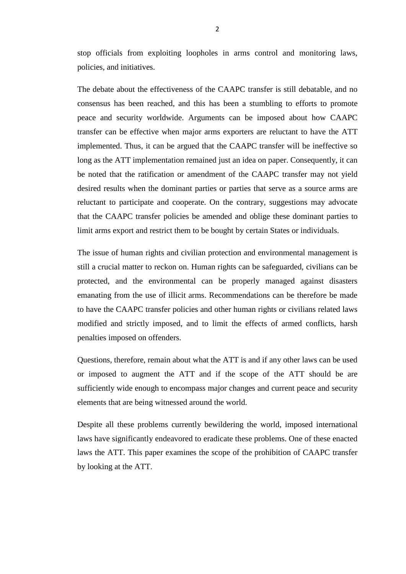stop officials from exploiting loopholes in arms control and monitoring laws, policies, and initiatives.

The debate about the effectiveness of the CAAPC transfer is still debatable, and no consensus has been reached, and this has been a stumbling to efforts to promote peace and security worldwide. Arguments can be imposed about how CAAPC transfer can be effective when major arms exporters are reluctant to have the ATT implemented. Thus, it can be argued that the CAAPC transfer will be ineffective so long as the ATT implementation remained just an idea on paper. Consequently, it can be noted that the ratification or amendment of the CAAPC transfer may not yield desired results when the dominant parties or parties that serve as a source arms are reluctant to participate and cooperate. On the contrary, suggestions may advocate that the CAAPC transfer policies be amended and oblige these dominant parties to limit arms export and restrict them to be bought by certain States or individuals.

The issue of human rights and civilian protection and environmental management is still a crucial matter to reckon on. Human rights can be safeguarded, civilians can be protected, and the environmental can be properly managed against disasters emanating from the use of illicit arms. Recommendations can be therefore be made to have the CAAPC transfer policies and other human rights or civilians related laws modified and strictly imposed, and to limit the effects of armed conflicts, harsh penalties imposed on offenders.

Questions, therefore, remain about what the ATT is and if any other laws can be used or imposed to augment the ATT and if the scope of the ATT should be are sufficiently wide enough to encompass major changes and current peace and security elements that are being witnessed around the world.

Despite all these problems currently bewildering the world, imposed international laws have significantly endeavored to eradicate these problems. One of these enacted laws the ATT. This paper examines the scope of the prohibition of CAAPC transfer by looking at the ATT.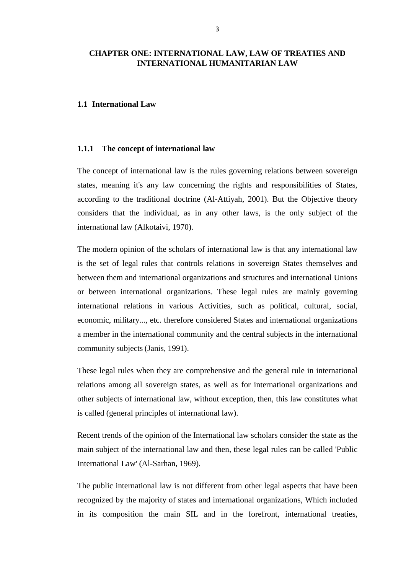### <span id="page-13-0"></span>**CHAPTER ONE: INTERNATIONAL LAW, LAW OF TREATIES AND INTERNATIONAL HUMANITARIAN LAW**

#### <span id="page-13-1"></span>**1.1 International Law**

#### <span id="page-13-2"></span>**1.1.1 The concept of international law**

The concept of international law is the rules governing relations between sovereign states, meaning it's any law concerning the rights and responsibilities of States, according to the traditional doctrine (Al-Attiyah, 2001). But the Objective theory considers that the individual, as in any other laws, is the only subject of the international law (Alkotaivi, 1970).

The modern opinion of the scholars of international law is that any international law is the set of legal rules that controls relations in sovereign States themselves and between them and international organizations and structures and international Unions or between international organizations. These legal rules are mainly governing international relations in various Activities, such as political, cultural, social, economic, military..., etc. therefore considered States and international organizations a member in the international community and the central subjects in the international community subjects (Janis, 1991).

These legal rules when they are comprehensive and the general rule in international relations among all sovereign states, as well as for international organizations and other subjects of international law, without exception, then, this law constitutes what is called (general principles of international law).

Recent trends of the opinion of the International law scholars consider the state as the main subject of the international law and then, these legal rules can be called 'Public International Law' (Al-Sarhan, 1969).

The public international law is not different from other legal aspects that have been recognized by the majority of states and international organizations, Which included in its composition the main SIL and in the forefront, international treaties,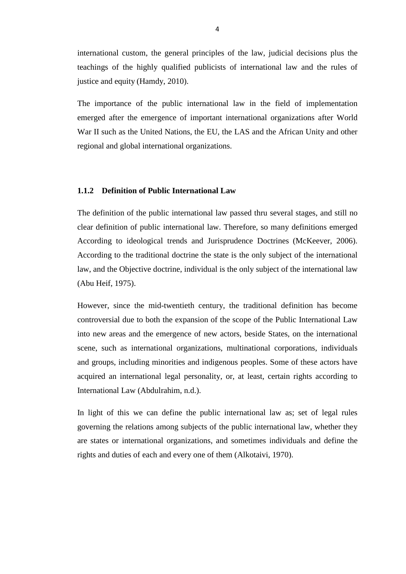international custom, the general principles of the law, judicial decisions plus the teachings of the highly qualified publicists of international law and the rules of justice and equity (Hamdy, 2010).

The importance of the public international law in the field of implementation emerged after the emergence of important international organizations after World War II such as the United Nations, the EU, the LAS and the African Unity and other regional and global international organizations.

### <span id="page-14-0"></span>**1.1.2 Definition of Public International Law**

The definition of the public international law passed thru several stages, and still no clear definition of public international law. Therefore, so many definitions emerged According to ideological trends and Jurisprudence Doctrines (McKeever, 2006). According to the traditional doctrine the state is the only subject of the international law, and the Objective doctrine, individual is the only subject of the international law (Abu Heif, 1975).

However, since the mid-twentieth century, the traditional definition has become controversial due to both the expansion of the scope of the Public International Law into new areas and the emergence of new actors, beside States, on the international scene, such as international organizations, multinational corporations, individuals and groups, including minorities and indigenous peoples. Some of these actors have acquired an international legal personality, or, at least, certain rights according to International Law (Abdulrahim, n.d.).

In light of this we can define the public international law as; set of legal rules governing the relations among subjects of the public international law, whether they are states or international organizations, and sometimes individuals and define the rights and duties of each and every one of them (Alkotaivi, 1970).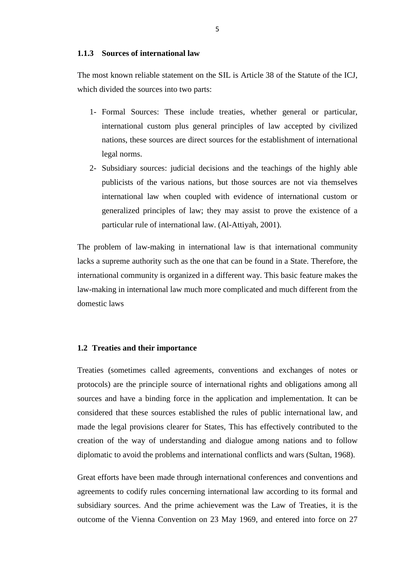#### <span id="page-15-0"></span>**1.1.3 Sources of international law**

The most known reliable statement on the SIL is Article 38 of the Statute of the ICJ, which divided the sources into two parts:

- 1- Formal Sources: These include treaties, whether general or particular, international custom plus general principles of law accepted by civilized nations, these sources are direct sources for the establishment of international legal norms.
- 2- Subsidiary sources: judicial decisions and the teachings of the highly able publicists of the various nations, but those sources are not via themselves international law when coupled with evidence of international custom or generalized principles of law; they may assist to prove the existence of a particular rule of international law. (Al-Attiyah, 2001).

The problem of law-making in international law is that international community lacks a supreme authority such as the one that can be found in a State. Therefore, the international community is organized in a different way. This basic feature makes the law-making in international law much more complicated and much different from the domestic laws

#### <span id="page-15-1"></span>**1.2 Treaties and their importance**

Treaties (sometimes called agreements, conventions and exchanges of notes or protocols) are the principle source of international rights and obligations among all sources and have a binding force in the application and implementation. It can be considered that these sources established the rules of public international law, and made the legal provisions clearer for States, This has effectively contributed to the creation of the way of understanding and dialogue among nations and to follow diplomatic to avoid the problems and international conflicts and wars (Sultan, 1968).

Great efforts have been made through international conferences and conventions and agreements to codify rules concerning international law according to its formal and subsidiary sources. And the prime achievement was the Law of Treaties, it is the outcome of the Vienna Convention on 23 May 1969, and entered into force on 27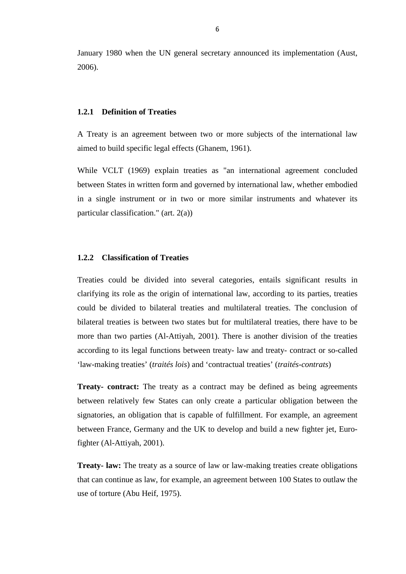January 1980 when the UN general secretary announced its implementation (Aust, 2006).

#### <span id="page-16-0"></span>**1.2.1 Definition of Treaties**

A Treaty is an agreement between two or more subjects of the international law aimed to build specific legal effects (Ghanem, 1961).

While VCLT (1969) explain treaties as "an international agreement concluded between States in written form and governed by international law, whether embodied in a single instrument or in two or more similar instruments and whatever its particular classification." (art. 2(a))

#### <span id="page-16-1"></span>**1.2.2 Classification of Treaties**

Treaties could be divided into several categories, entails significant results in clarifying its role as the origin of international law, according to its parties, treaties could be divided to bilateral treaties and multilateral treaties. The conclusion of bilateral treaties is between two states but for multilateral treaties, there have to be more than two parties (Al-Attiyah, 2001). There is another division of the treaties according to its legal functions between treaty- law and treaty- contract or so-called 'law-making treaties' (*traités lois*) and 'contractual treaties' (*traités-contrats*)

**Treaty- contract:** The treaty as a contract may be defined as being agreements between relatively few States can only create a particular obligation between the signatories, an obligation that is capable of fulfillment. For example, an agreement between France, Germany and the UK to develop and build a new fighter jet, Eurofighter (Al-Attiyah, 2001).

**Treaty- law:** The treaty as a source of law or law-making treaties create obligations that can continue as law, for example, an agreement between 100 States to outlaw the use of torture (Abu Heif, 1975).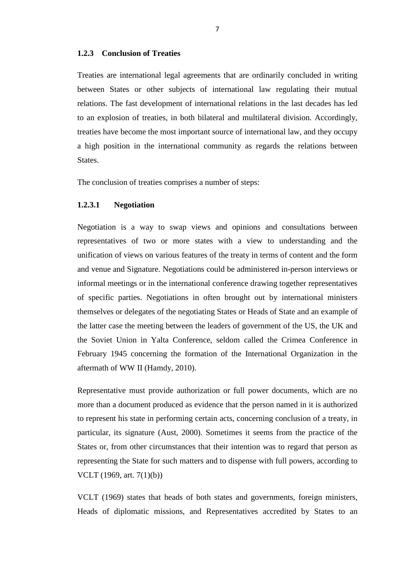#### <span id="page-17-0"></span>**1.2.3 Conclusion of Treaties**

Treaties are international legal agreements that are ordinarily concluded in writing between States or other subjects of international law regulating their mutual relations. The fast development of international relations in the last decades has led to an explosion of treaties, in both bilateral and multilateral division. Accordingly, treaties have become the most important source of international law, and they occupy a high position in the international community as regards the relations between States.

The conclusion of treaties comprises a number of steps:

#### <span id="page-17-1"></span>**1.2.3.1 Negotiation**

Negotiation is a way to swap views and opinions and consultations between representatives of two or more states with a view to understanding and the unification of views on various features of the treaty in terms of content and the form and venue and Signature. Negotiations could be administered in-person interviews or informal meetings or in the international conference drawing together representatives of specific parties. Negotiations in often brought out by international ministers themselves or delegates of the negotiating States or Heads of State and an example of the latter case the meeting between the leaders of government of the US, the UK and the Soviet Union in Yalta Conference, seldom called the Crimea Conference in February 1945 concerning the formation of the International Organization in the aftermath of WW II (Hamdy, 2010).

Representative must provide authorization or full power documents, which are no more than a document produced as evidence that the person named in it is authorized to represent his state in performing certain acts, concerning conclusion of a treaty, in particular, its signature (Aust, 2000). Sometimes it seems from the practice of the States or, from other circumstances that their intention was to regard that person as representing the State for such matters and to dispense with full powers, according to VCLT (1969, art. 7(1)(b))

VCLT (1969) states that heads of both states and governments, foreign ministers, Heads of diplomatic missions, and Representatives accredited by States to an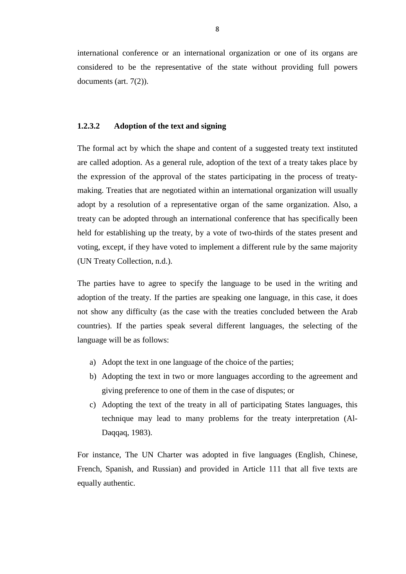international conference or an international organization or one of its organs are considered to be the representative of the state without providing full powers documents (art. 7(2)).

### <span id="page-18-0"></span>**1.2.3.2 Adoption of the text and signing**

The formal act by which the shape and content of a suggested treaty text instituted are called adoption. As a general rule, adoption of the text of a treaty takes place by the expression of the approval of the states participating in the process of treatymaking. Treaties that are negotiated within an international organization will usually adopt by a resolution of a representative organ of the same organization. Also, a treaty can be adopted through an international conference that has specifically been held for establishing up the treaty, by a vote of two-thirds of the states present and voting, except, if they have voted to implement a different rule by the same majority (UN Treaty Collection, n.d.).

The parties have to agree to specify the language to be used in the writing and adoption of the treaty. If the parties are speaking one language, in this case, it does not show any difficulty (as the case with the treaties concluded between the Arab countries). If the parties speak several different languages, the selecting of the language will be as follows:

- a) Adopt the text in one language of the choice of the parties;
- b) Adopting the text in two or more languages according to the agreement and giving preference to one of them in the case of disputes; or
- c) Adopting the text of the treaty in all of participating States languages, this technique may lead to many problems for the treaty interpretation (Al-Daqqaq, 1983).

For instance, The UN Charter was adopted in five languages (English, Chinese, French, Spanish, and Russian) and provided in Article 111 that all five texts are equally authentic.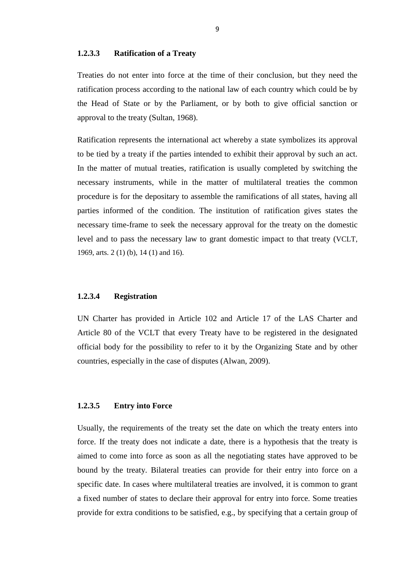#### <span id="page-19-0"></span>**1.2.3.3 Ratification of a Treaty**

Treaties do not enter into force at the time of their conclusion, but they need the ratification process according to the national law of each country which could be by the Head of State or by the Parliament, or by both to give official sanction or approval to the treaty (Sultan, 1968).

Ratification represents the international act whereby a state symbolizes its approval to be tied by a treaty if the parties intended to exhibit their approval by such an act. In the matter of mutual treaties, ratification is usually completed by switching the necessary instruments, while in the matter of multilateral treaties the common procedure is for the depositary to assemble the ramifications of all states, having all parties informed of the condition. The institution of ratification gives states the necessary time-frame to seek the necessary approval for the treaty on the domestic level and to pass the necessary law to grant domestic impact to that treaty (VCLT, 1969, arts. 2 (1) (b), 14 (1) and 16).

#### <span id="page-19-1"></span>**1.2.3.4 Registration**

UN Charter has provided in Article 102 and Article 17 of the LAS Charter and Article 80 of the VCLT that every Treaty have to be registered in the designated official body for the possibility to refer to it by the Organizing State and by other countries, especially in the case of disputes (Alwan, 2009).

#### <span id="page-19-2"></span>**1.2.3.5 Entry into Force**

Usually, the requirements of the treaty set the date on which the treaty enters into force. If the treaty does not indicate a date, there is a hypothesis that the treaty is aimed to come into force as soon as all the negotiating states have approved to be bound by the treaty. Bilateral treaties can provide for their entry into force on a specific date. In cases where multilateral treaties are involved, it is common to grant a fixed number of states to declare their approval for entry into force. Some treaties provide for extra conditions to be satisfied, e.g., by specifying that a certain group of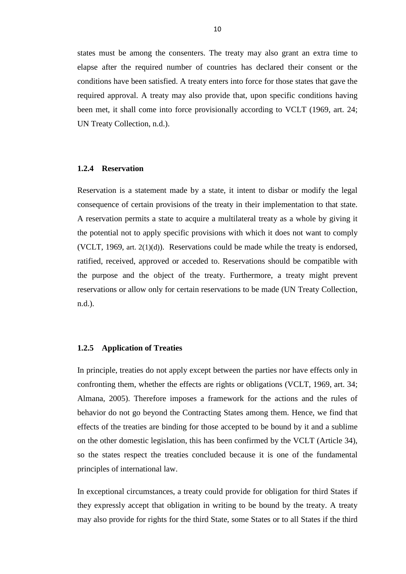states must be among the consenters. The treaty may also grant an extra time to elapse after the required number of countries has declared their consent or the conditions have been satisfied. A treaty enters into force for those states that gave the required approval. A treaty may also provide that, upon specific conditions having been met, it shall come into force provisionally according to VCLT (1969, art. 24; UN Treaty Collection, n.d.).

#### <span id="page-20-0"></span>**1.2.4 Reservation**

Reservation is a statement made by a state, it intent to disbar or modify the legal consequence of certain provisions of the treaty in their implementation to that state. A reservation permits a state to acquire a multilateral treaty as a whole by giving it the potential not to apply specific provisions with which it does not want to comply (VCLT, 1969, art. 2(1)(d)). Reservations could be made while the treaty is endorsed, ratified, received, approved or acceded to. Reservations should be compatible with the purpose and the object of the treaty. Furthermore, a treaty might prevent reservations or allow only for certain reservations to be made (UN Treaty Collection, n.d.).

#### <span id="page-20-1"></span>**1.2.5 Application of Treaties**

In principle, treaties do not apply except between the parties nor have effects only in confronting them, whether the effects are rights or obligations (VCLT, 1969, art. 34; Almana, 2005). Therefore imposes a framework for the actions and the rules of behavior do not go beyond the Contracting States among them. Hence, we find that effects of the treaties are binding for those accepted to be bound by it and a sublime on the other domestic legislation, this has been confirmed by the VCLT (Article 34), so the states respect the treaties concluded because it is one of the fundamental principles of international law.

In exceptional circumstances, a treaty could provide for obligation for third States if they expressly accept that obligation in writing to be bound by the treaty. A treaty may also provide for rights for the third State, some States or to all States if the third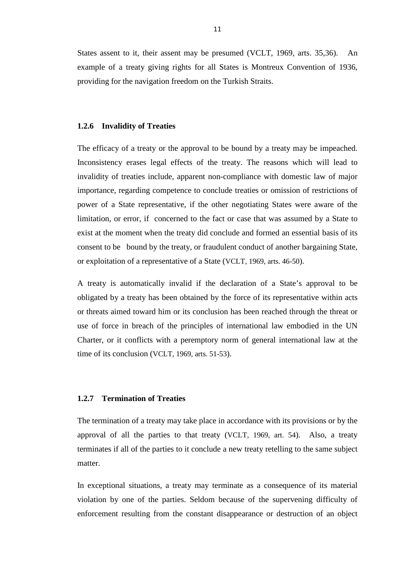States assent to it, their assent may be presumed (VCLT, 1969, arts. 35,36). An example of a treaty giving rights for all States is Montreux Convention of 1936, providing for the navigation freedom on the Turkish Straits.

#### <span id="page-21-0"></span>**1.2.6 Invalidity of Treaties**

The efficacy of a treaty or the approval to be bound by a treaty may be impeached. Inconsistency erases legal effects of the treaty. The reasons which will lead to invalidity of treaties include, apparent non-compliance with domestic law of major importance, regarding competence to conclude treaties or omission of restrictions of power of a State representative, if the other negotiating States were aware of the limitation, or error, if concerned to the fact or case that was assumed by a State to exist at the moment when the treaty did conclude and formed an essential basis of its consent to be bound by the treaty, or fraudulent conduct of another bargaining State, or exploitation of a representative of a State (VCLT, 1969, arts. 46-50).

A treaty is automatically invalid if the declaration of a State's approval to be obligated by a treaty has been obtained by the force of its representative within acts or threats aimed toward him or its conclusion has been reached through the threat or use of force in breach of the principles of international law embodied in the UN Charter, or it conflicts with a peremptory norm of general international law at the time of its conclusion (VCLT, 1969, arts. 51-53).

## <span id="page-21-1"></span>**1.2.7 Termination of Treaties**

The termination of a treaty may take place in accordance with its provisions or by the approval of all the parties to that treaty (VCLT, 1969, art. 54). Also, a treaty terminates if all of the parties to it conclude a new treaty retelling to the same subject matter.

In exceptional situations, a treaty may terminate as a consequence of its material violation by one of the parties. Seldom because of the supervening difficulty of enforcement resulting from the constant disappearance or destruction of an object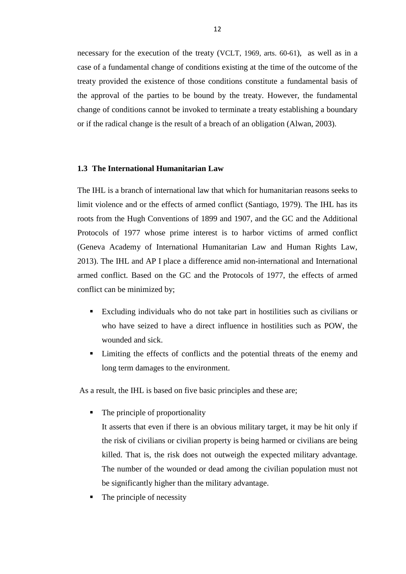necessary for the execution of the treaty (VCLT, 1969, arts. 60-61), as well as in a case of a fundamental change of conditions existing at the time of the outcome of the treaty provided the existence of those conditions constitute a fundamental basis of the approval of the parties to be bound by the treaty. However, the fundamental change of conditions cannot be invoked to terminate a treaty establishing a boundary or if the radical change is the result of a breach of an obligation (Alwan, 2003).

#### <span id="page-22-0"></span>**1.3 The International Humanitarian Law**

The IHL is a branch of international law that which for humanitarian reasons seeks to limit violence and or the effects of armed conflict (Santiago, 1979). The IHL has its roots from the Hugh Conventions of 1899 and 1907, and the GC and the Additional Protocols of 1977 whose prime interest is to harbor victims of armed conflict (Geneva Academy of International Humanitarian Law and Human Rights Law, 2013). The IHL and AP I place a difference amid non-international and International armed conflict. Based on the GC and the Protocols of 1977, the effects of armed conflict can be minimized by;

- Excluding individuals who do not take part in hostilities such as civilians or who have seized to have a direct influence in hostilities such as POW, the wounded and sick.
- Limiting the effects of conflicts and the potential threats of the enemy and long term damages to the environment.

As a result, the IHL is based on five basic principles and these are;

• The principle of proportionality

It asserts that even if there is an obvious military target, it may be hit only if the risk of civilians or civilian property is being harmed or civilians are being killed. That is, the risk does not outweigh the expected military advantage. The number of the wounded or dead among the civilian population must not be significantly higher than the military advantage.

The principle of necessity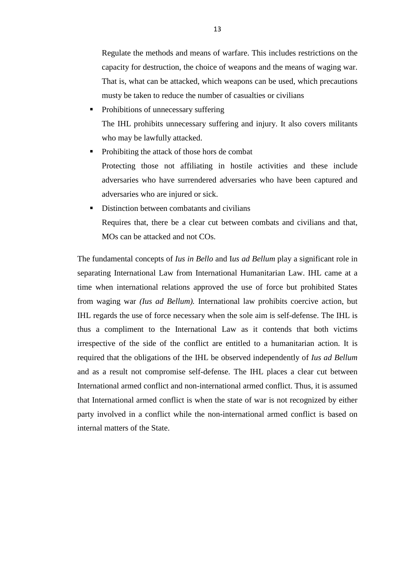Regulate the methods and means of warfare. This includes restrictions on the capacity for destruction, the choice of weapons and the means of waging war. That is, what can be attacked, which weapons can be used, which precautions musty be taken to reduce the number of casualties or civilians

- Prohibitions of unnecessary suffering The IHL prohibits unnecessary suffering and injury. It also covers militants who may be lawfully attacked.
- Prohibiting the attack of those hors de combat Protecting those not affiliating in hostile activities and these include adversaries who have surrendered adversaries who have been captured and adversaries who are injured or sick.
- Distinction between combatants and civilians Requires that, there be a clear cut between combats and civilians and that, MOs can be attacked and not COs.

The fundamental concepts of *Ius in Bello* and I*us ad Bellum* play a significant role in separating International Law from International Humanitarian Law. IHL came at a time when international relations approved the use of force but prohibited States from waging war *(Ius ad Bellum).* International law prohibits coercive action, but IHL regards the use of force necessary when the sole aim is self-defense. The IHL is thus a compliment to the International Law as it contends that both victims irrespective of the side of the conflict are entitled to a humanitarian action. It is required that the obligations of the IHL be observed independently of *Ius ad Bellum* and as a result not compromise self-defense. The IHL places a clear cut between International armed conflict and non-international armed conflict. Thus, it is assumed that International armed conflict is when the state of war is not recognized by either party involved in a conflict while the non-international armed conflict is based on internal matters of the State.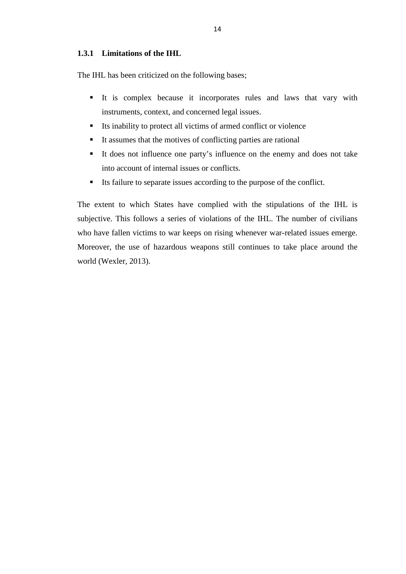### <span id="page-24-0"></span>**1.3.1 Limitations of the IHL**

The IHL has been criticized on the following bases;

- It is complex because it incorporates rules and laws that vary with instruments, context, and concerned legal issues.
- Its inability to protect all victims of armed conflict or violence
- It assumes that the motives of conflicting parties are rational
- It does not influence one party's influence on the enemy and does not take into account of internal issues or conflicts.
- Its failure to separate issues according to the purpose of the conflict.

The extent to which States have complied with the stipulations of the IHL is subjective. This follows a series of violations of the IHL. The number of civilians who have fallen victims to war keeps on rising whenever war-related issues emerge. Moreover, the use of hazardous weapons still continues to take place around the world (Wexler, 2013).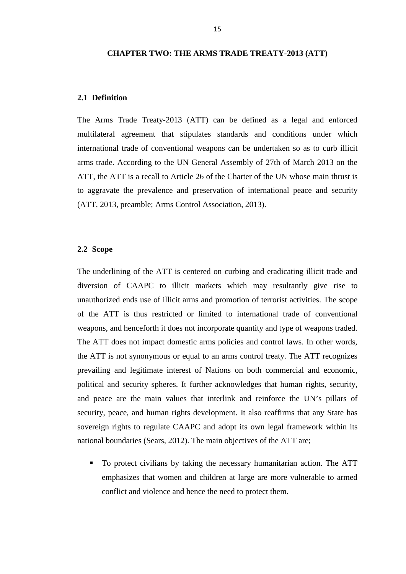#### <span id="page-25-0"></span>**CHAPTER TWO: THE ARMS TRADE TREATY-2013 (ATT)**

#### <span id="page-25-1"></span>**2.1 Definition**

The Arms Trade Treaty-2013 (ATT) can be defined as a legal and enforced multilateral agreement that stipulates standards and conditions under which international trade of conventional weapons can be undertaken so as to curb illicit arms trade. According to the UN General Assembly of 27th of March 2013 on the ATT, the ATT is a recall to Article 26 of the Charter of the UN whose main thrust is to aggravate the prevalence and preservation of international peace and security (ATT, 2013, preamble; Arms Control Association, 2013).

#### <span id="page-25-2"></span>**2.2 Scope**

The underlining of the ATT is centered on curbing and eradicating illicit trade and diversion of CAAPC to illicit markets which may resultantly give rise to unauthorized ends use of illicit arms and promotion of terrorist activities. The scope of the ATT is thus restricted or limited to international trade of conventional weapons, and henceforth it does not incorporate quantity and type of weapons traded. The ATT does not impact domestic arms policies and control laws. In other words, the ATT is not synonymous or equal to an arms control treaty. The ATT recognizes prevailing and legitimate interest of Nations on both commercial and economic, political and security spheres. It further acknowledges that human rights, security, and peace are the main values that interlink and reinforce the UN's pillars of security, peace, and human rights development. It also reaffirms that any State has sovereign rights to regulate CAAPC and adopt its own legal framework within its national boundaries (Sears, 2012). The main objectives of the ATT are;

 To protect civilians by taking the necessary humanitarian action. The ATT emphasizes that women and children at large are more vulnerable to armed conflict and violence and hence the need to protect them.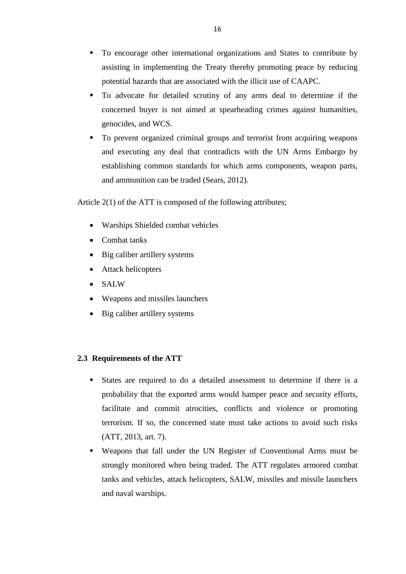- To encourage other international organizations and States to contribute by assisting in implementing the Treaty thereby promoting peace by reducing potential hazards that are associated with the illicit use of CAAPC.
- To advocate for detailed scrutiny of any arms deal to determine if the concerned buyer is not aimed at spearheading crimes against humanities, genocides, and WCS.
- To prevent organized criminal groups and terrorist from acquiring weapons and executing any deal that contradicts with the UN Arms Embargo by establishing common standards for which arms components, weapon parts, and ammunition can be traded (Sears, 2012).

Article 2(1) of the ATT is composed of the following attributes;

- Warships Shielded combat vehicles
- Combat tanks
- Big caliber artillery systems
- Attack helicopters
- SALW
- Weapons and missiles launchers
- Big caliber artillery systems

# <span id="page-26-0"></span>**2.3 Requirements of the ATT**

- States are required to do a detailed assessment to determine if there is a probability that the exported arms would hamper peace and security efforts, facilitate and commit atrocities, conflicts and violence or promoting terrorism. If so, the concerned state must take actions to avoid such risks (ATT, 2013, art. 7).
- Weapons that fall under the UN Register of Conventional Arms must be strongly monitored when being traded. The ATT regulates armored combat tanks and vehicles, attack helicopters, SALW, missiles and missile launchers and naval warships.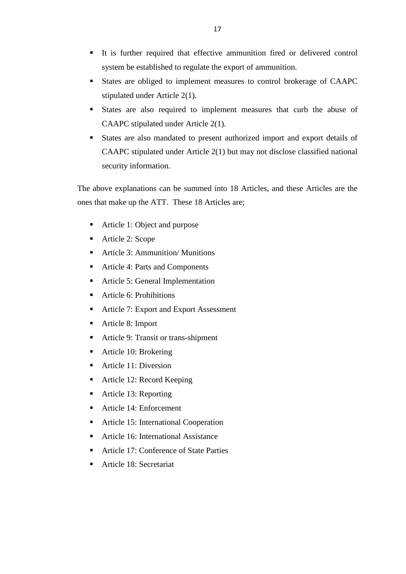- It is further required that effective ammunition fired or delivered control system be established to regulate the export of ammunition.
- States are obliged to implement measures to control brokerage of CAAPC stipulated under Article 2(1).
- States are also required to implement measures that curb the abuse of CAAPC stipulated under Article 2(1).
- States are also mandated to present authorized import and export details of CAAPC stipulated under Article 2(1) but may not disclose classified national security information.

The above explanations can be summed into 18 Articles, and these Articles are the ones that make up the ATT. These 18 Articles are;

- Article 1: Object and purpose
- Article 2: Scope
- Article 3: Ammunition/ Munitions
- Article 4: Parts and Components
- Article 5: General Implementation
- Article 6: Prohibitions
- Article 7: Export and Export Assessment
- Article 8: Import
- Article 9: Transit or trans-shipment
- Article 10: Brokering
- Article 11: Diversion
- Article 12: Record Keeping
- Article 13: Reporting
- Article 14: Enforcement
- Article 15: International Cooperation
- Article 16: International Assistance
- Article 17: Conference of State Parties
- Article 18: Secretariat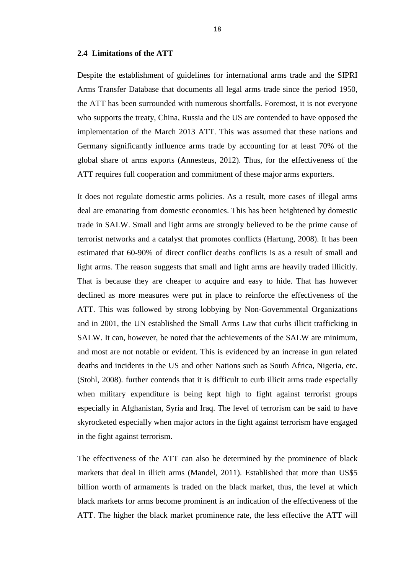#### <span id="page-28-0"></span>**2.4 Limitations of the ATT**

Despite the establishment of guidelines for international arms trade and the SIPRI Arms Transfer Database that documents all legal arms trade since the period 1950, the ATT has been surrounded with numerous shortfalls. Foremost, it is not everyone who supports the treaty, China, Russia and the US are contended to have opposed the implementation of the March 2013 ATT. This was assumed that these nations and Germany significantly influence arms trade by accounting for at least 70% of the global share of arms exports (Annesteus, 2012). Thus, for the effectiveness of the ATT requires full cooperation and commitment of these major arms exporters.

It does not regulate domestic arms policies. As a result, more cases of illegal arms deal are emanating from domestic economies. This has been heightened by domestic trade in SALW. Small and light arms are strongly believed to be the prime cause of terrorist networks and a catalyst that promotes conflicts (Hartung, 2008). It has been estimated that 60-90% of direct conflict deaths conflicts is as a result of small and light arms. The reason suggests that small and light arms are heavily traded illicitly. That is because they are cheaper to acquire and easy to hide. That has however declined as more measures were put in place to reinforce the effectiveness of the ATT. This was followed by strong lobbying by Non-Governmental Organizations and in 2001, the UN established the Small Arms Law that curbs illicit trafficking in SALW. It can, however, be noted that the achievements of the SALW are minimum, and most are not notable or evident. This is evidenced by an increase in gun related deaths and incidents in the US and other Nations such as South Africa, Nigeria, etc. (Stohl, 2008). further contends that it is difficult to curb illicit arms trade especially when military expenditure is being kept high to fight against terrorist groups especially in Afghanistan, Syria and Iraq. The level of terrorism can be said to have skyrocketed especially when major actors in the fight against terrorism have engaged in the fight against terrorism.

The effectiveness of the ATT can also be determined by the prominence of black markets that deal in illicit arms (Mandel, 2011). Established that more than US\$5 billion worth of armaments is traded on the black market, thus, the level at which black markets for arms become prominent is an indication of the effectiveness of the ATT. The higher the black market prominence rate, the less effective the ATT will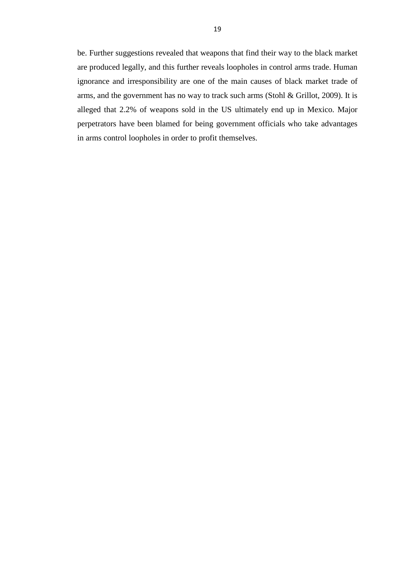be. Further suggestions revealed that weapons that find their way to the black market are produced legally, and this further reveals loopholes in control arms trade. Human ignorance and irresponsibility are one of the main causes of black market trade of arms, and the government has no way to track such arms (Stohl & Grillot, 2009). It is alleged that 2.2% of weapons sold in the US ultimately end up in Mexico. Major perpetrators have been blamed for being government officials who take advantages in arms control loopholes in order to profit themselves.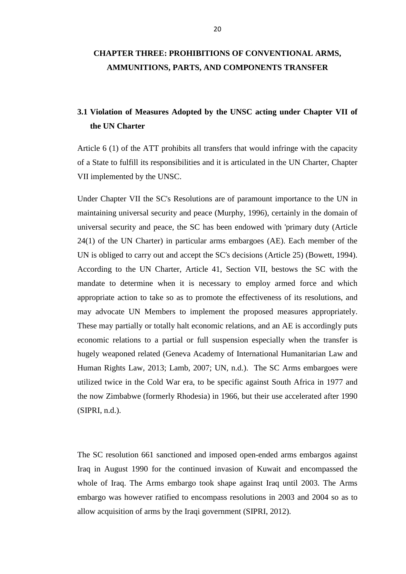# <span id="page-30-0"></span>**CHAPTER THREE: PROHIBITIONS OF CONVENTIONAL ARMS, AMMUNITIONS, PARTS, AND COMPONENTS TRANSFER**

# <span id="page-30-1"></span>**3.1 Violation of Measures Adopted by the UNSC acting under Chapter VII of the UN Charter**

Article 6 (1) of the ATT prohibits all transfers that would infringe with the capacity of a State to fulfill its responsibilities and it is articulated in the UN Charter, Chapter VII implemented by the UNSC.

Under Chapter VII the SC's Resolutions are of paramount importance to the UN in maintaining universal security and peace (Murphy, 1996), certainly in the domain of universal security and peace, the SC has been endowed with 'primary duty (Article 24(1) of the UN Charter) in particular arms embargoes (AE). Each member of the UN is obliged to carry out and accept the SC's decisions (Article 25) (Bowett, 1994). According to the UN Charter, Article 41, Section VII, bestows the SC with the mandate to determine when it is necessary to employ armed force and which appropriate action to take so as to promote the effectiveness of its resolutions, and may advocate UN Members to implement the proposed measures appropriately. These may partially or totally halt economic relations, and an AE is accordingly puts economic relations to a partial or full suspension especially when the transfer is hugely weaponed related (Geneva Academy of International Humanitarian Law and Human Rights Law, 2013; Lamb, 2007; UN, n.d.). The SC Arms embargoes were utilized twice in the Cold War era, to be specific against South Africa in 1977 and the now Zimbabwe (formerly Rhodesia) in 1966, but their use accelerated after 1990 (SIPRI, n.d.).

The SC resolution 661 sanctioned and imposed open-ended arms embargos against Iraq in August 1990 for the continued invasion of Kuwait and encompassed the whole of Iraq. The Arms embargo took shape against Iraq until 2003. The Arms embargo was however ratified to encompass resolutions in 2003 and 2004 so as to allow acquisition of arms by the Iraqi government (SIPRI, 2012).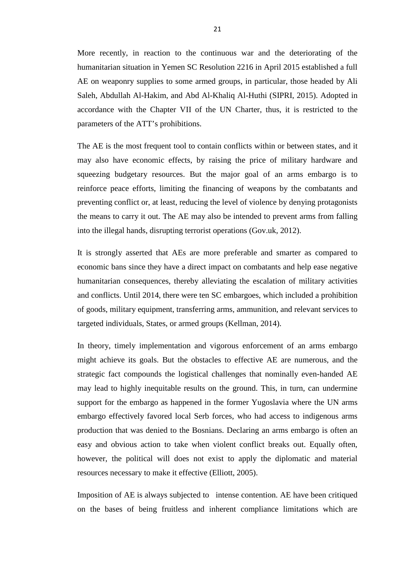More recently, in reaction to the continuous war and the deteriorating of the humanitarian situation in Yemen SC Resolution 2216 in April 2015 established a full AE on weaponry supplies to some armed groups, in particular, those headed by Ali Saleh, Abdullah Al-Hakim, and Abd Al-Khaliq Al-Huthi (SIPRI, 2015). Adopted in accordance with the Chapter VII of the UN Charter, thus, it is restricted to the parameters of the ATT's prohibitions.

The AE is the most frequent tool to contain conflicts within or between states, and it may also have economic effects, by raising the price of military hardware and squeezing budgetary resources. But the major goal of an arms embargo is to reinforce peace efforts, limiting the financing of weapons by the combatants and preventing conflict or, at least, reducing the level of violence by denying protagonists the means to carry it out. The AE may also be intended to prevent arms from falling into the illegal hands, disrupting terrorist operations (Gov.uk, 2012).

It is strongly asserted that AEs are more preferable and smarter as compared to economic bans since they have a direct impact on combatants and help ease negative humanitarian consequences, thereby alleviating the escalation of military activities and conflicts. Until 2014, there were ten SC embargoes, which included a prohibition of goods, military equipment, transferring arms, ammunition, and relevant services to targeted individuals, States, or armed groups (Kellman, 2014).

In theory, timely implementation and vigorous enforcement of an arms embargo might achieve its goals. But the obstacles to effective AE are numerous, and the strategic fact compounds the logistical challenges that nominally even-handed AE may lead to highly inequitable results on the ground. This, in turn, can undermine support for the embargo as happened in the former Yugoslavia where the UN arms embargo effectively favored local Serb forces, who had access to indigenous arms production that was denied to the Bosnians. Declaring an arms embargo is often an easy and obvious action to take when violent conflict breaks out. Equally often, however, the political will does not exist to apply the diplomatic and material resources necessary to make it effective (Elliott, 2005).

Imposition of AE is always subjected to intense contention. AE have been critiqued on the bases of being fruitless and inherent compliance limitations which are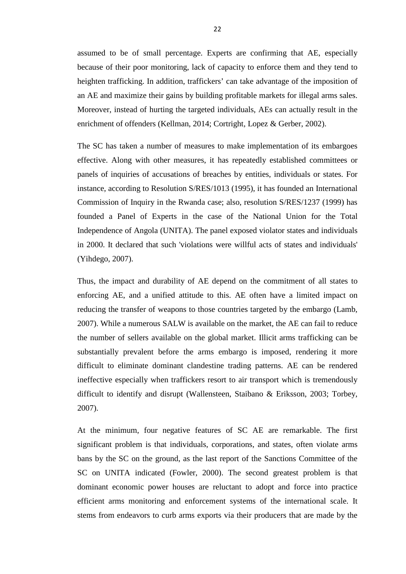assumed to be of small percentage. Experts are confirming that AE, especially because of their poor monitoring, lack of capacity to enforce them and they tend to heighten trafficking. In addition, traffickers' can take advantage of the imposition of an AE and maximize their gains by building profitable markets for illegal arms sales. Moreover, instead of hurting the targeted individuals, AEs can actually result in the enrichment of offenders (Kellman, 2014; Cortright, Lopez & Gerber, 2002).

The SC has taken a number of measures to make implementation of its embargoes effective. Along with other measures, it has repeatedly established committees or panels of inquiries of accusations of breaches by entities, individuals or states. For instance, according to Resolution S/RES/1013 (1995), it has founded an International Commission of Inquiry in the Rwanda case; also, resolution S/RES/1237 (1999) has founded a Panel of Experts in the case of the National Union for the Total Independence of Angola (UNITA). The panel exposed violator states and individuals in 2000. It declared that such 'violations were willful acts of states and individuals' (Yihdego, 2007).

Thus, the impact and durability of AE depend on the commitment of all states to enforcing AE, and a unified attitude to this. AE often have a limited impact on reducing the transfer of weapons to those countries targeted by the embargo (Lamb, 2007). While a numerous SALW is available on the market, the AE can fail to reduce the number of sellers available on the global market. Illicit arms trafficking can be substantially prevalent before the arms embargo is imposed, rendering it more difficult to eliminate dominant clandestine trading patterns. AE can be rendered ineffective especially when traffickers resort to air transport which is tremendously difficult to identify and disrupt (Wallensteen, Staibano & Eriksson, 2003; Torbey, 2007).

At the minimum, four negative features of SC AE are remarkable. The first significant problem is that individuals, corporations, and states, often violate arms bans by the SC on the ground, as the last report of the Sanctions Committee of the SC on UNITA indicated (Fowler, 2000). The second greatest problem is that dominant economic power houses are reluctant to adopt and force into practice efficient arms monitoring and enforcement systems of the international scale. It stems from endeavors to curb arms exports via their producers that are made by the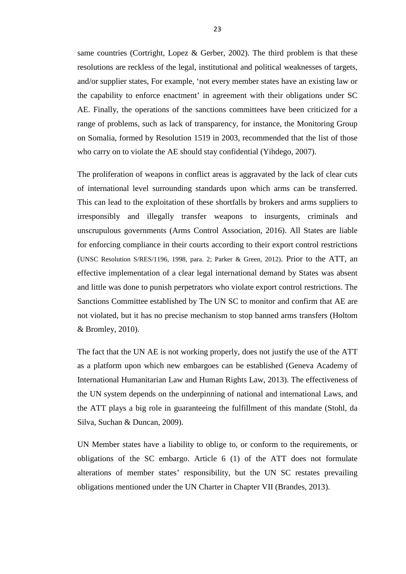same countries (Cortright, Lopez & Gerber, 2002). The third problem is that these resolutions are reckless of the legal, institutional and political weaknesses of targets, and/or supplier states, For example, 'not every member states have an existing law or the capability to enforce enactment' in agreement with their obligations under SC AE. Finally, the operations of the sanctions committees have been criticized for a range of problems, such as lack of transparency, for instance, the Monitoring Group on Somalia, formed by Resolution 1519 in 2003, recommended that the list of those who carry on to violate the AE should stay confidential (Yihdego, 2007).

The proliferation of weapons in conflict areas is aggravated by the lack of clear cuts of international level surrounding standards upon which arms can be transferred. This can lead to the exploitation of these shortfalls by brokers and arms suppliers to irresponsibly and illegally transfer weapons to insurgents, criminals and unscrupulous governments (Arms Control Association, 2016). All States are liable for enforcing compliance in their courts according to their export control restrictions (UNSC Resolution S/RES/1196, 1998, para. 2; Parker & Green, 2012). Prior to the ATT, an effective implementation of a clear legal international demand by States was absent and little was done to punish perpetrators who violate export control restrictions. The Sanctions Committee established by The UN SC to monitor and confirm that AE are not violated, but it has no precise mechanism to stop banned arms transfers (Holtom & Bromley, 2010).

The fact that the UN AE is not working properly, does not justify the use of the ATT as a platform upon which new embargoes can be established (Geneva Academy of International Humanitarian Law and Human Rights Law, 2013). The effectiveness of the UN system depends on the underpinning of national and international Laws, and the ATT plays a big role in guaranteeing the fulfillment of this mandate (Stohl, da Silva, Suchan & Duncan, 2009).

UN Member states have a liability to oblige to, or conform to the requirements, or obligations of the SC embargo. Article 6 (1) of the ATT does not formulate alterations of member states' responsibility, but the UN SC restates prevailing obligations mentioned under the UN Charter in Chapter VII (Brandes, 2013).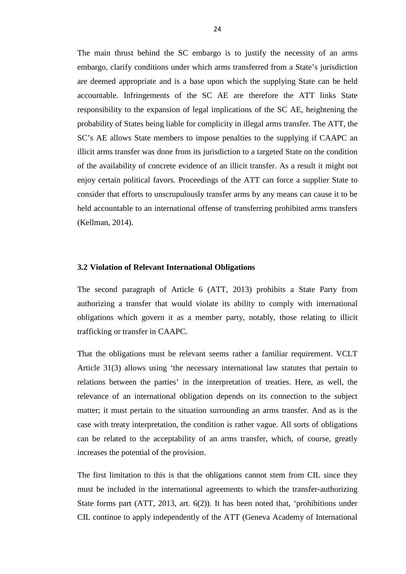The main thrust behind the SC embargo is to justify the necessity of an arms embargo, clarify conditions under which arms transferred from a State's jurisdiction are deemed appropriate and is a base upon which the supplying State can be held accountable. Infringements of the SC AE are therefore the ATT links State responsibility to the expansion of legal implications of the SC AE, heightening the probability of States being liable for complicity in illegal arms transfer. The ATT, the SC's AE allows State members to impose penalties to the supplying if CAAPC an illicit arms transfer was done from its jurisdiction to a targeted State on the condition of the availability of concrete evidence of an illicit transfer. As a result it might not enjoy certain political favors. Proceedings of the ATT can force a supplier State to consider that efforts to unscrupulously transfer arms by any means can cause it to be held accountable to an international offense of transferring prohibited arms transfers (Kellman, 2014).

#### <span id="page-34-0"></span>**3.2 Violation of Relevant International Obligations**

The second paragraph of Article 6 (ATT, 2013) prohibits a State Party from authorizing a transfer that would violate its ability to comply with international obligations which govern it as a member party, notably, those relating to illicit trafficking or transfer in CAAPC.

That the obligations must be relevant seems rather a familiar requirement. VCLT Article 31(3) allows using 'the necessary international law statutes that pertain to relations between the parties' in the interpretation of treaties. Here, as well, the relevance of an international obligation depends on its connection to the subject matter; it must pertain to the situation surrounding an arms transfer. And as is the case with treaty interpretation, the condition is rather vague. All sorts of obligations can be related to the acceptability of an arms transfer, which, of course, greatly increases the potential of the provision.

The first limitation to this is that the obligations cannot stem from CIL since they must be included in the international agreements to which the transfer-authorizing State forms part (ATT, 2013, art.  $6(2)$ ). It has been noted that, 'prohibitions under CIL continue to apply independently of the ATT (Geneva Academy of International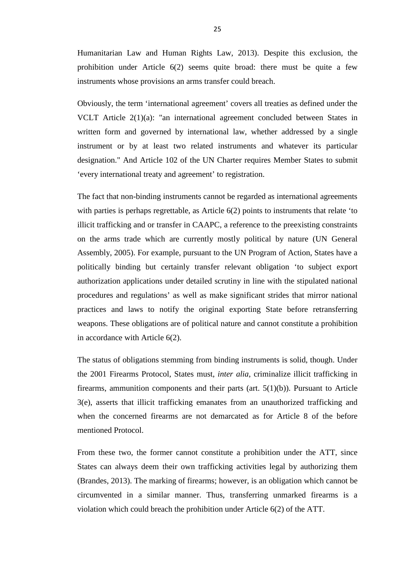Humanitarian Law and Human Rights Law, 2013). Despite this exclusion, the prohibition under Article 6(2) seems quite broad: there must be quite a few instruments whose provisions an arms transfer could breach.

Obviously, the term 'international agreement' covers all treaties as defined under the VCLT Article 2(1)(a): "an international agreement concluded between States in written form and governed by international law, whether addressed by a single instrument or by at least two related instruments and whatever its particular designation." And Article 102 of the UN Charter requires Member States to submit 'every international treaty and agreement' to registration.

The fact that non-binding instruments cannot be regarded as international agreements with parties is perhaps regrettable, as Article 6(2) points to instruments that relate 'to illicit trafficking and or transfer in CAAPC, a reference to the preexisting constraints on the arms trade which are currently mostly political by nature (UN General Assembly, 2005). For example, pursuant to the UN Program of Action, States have a politically binding but certainly transfer relevant obligation 'to subject export authorization applications under detailed scrutiny in line with the stipulated national procedures and regulations' as well as make significant strides that mirror national practices and laws to notify the original exporting State before retransferring weapons. These obligations are of political nature and cannot constitute a prohibition in accordance with Article 6(2).

The status of obligations stemming from binding instruments is solid, though. Under the 2001 Firearms Protocol, States must, *inter alia*, criminalize illicit trafficking in firearms, ammunition components and their parts (art.  $5(1)(b)$ ). Pursuant to Article 3(e), asserts that illicit trafficking emanates from an unauthorized trafficking and when the concerned firearms are not demarcated as for Article 8 of the before mentioned Protocol.

From these two, the former cannot constitute a prohibition under the ATT, since States can always deem their own trafficking activities legal by authorizing them (Brandes, 2013). The marking of firearms; however, is an obligation which cannot be circumvented in a similar manner. Thus, transferring unmarked firearms is a violation which could breach the prohibition under Article 6(2) of the ATT.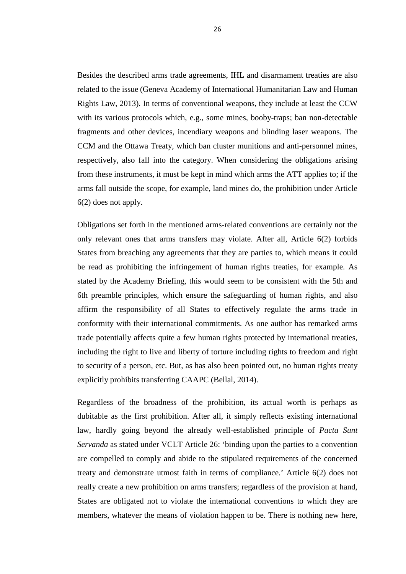Besides the described arms trade agreements, IHL and disarmament treaties are also related to the issue (Geneva Academy of International Humanitarian Law and Human Rights Law, 2013). In terms of conventional weapons, they include at least the CCW with its various protocols which, e.g., some mines, booby-traps; ban non-detectable fragments and other devices, incendiary weapons and blinding laser weapons. The CCM and the Ottawa Treaty, which ban cluster munitions and anti-personnel mines, respectively, also fall into the category. When considering the obligations arising from these instruments, it must be kept in mind which arms the ATT applies to; if the arms fall outside the scope, for example, land mines do, the prohibition under Article 6(2) does not apply.

Obligations set forth in the mentioned arms-related conventions are certainly not the only relevant ones that arms transfers may violate. After all, Article 6(2) forbids States from breaching any agreements that they are parties to, which means it could be read as prohibiting the infringement of human rights treaties, for example. As stated by the Academy Briefing, this would seem to be consistent with the 5th and 6th preamble principles, which ensure the safeguarding of human rights, and also affirm the responsibility of all States to effectively regulate the arms trade in conformity with their international commitments. As one author has remarked arms trade potentially affects quite a few human rights protected by international treaties, including the right to live and liberty of torture including rights to freedom and right to security of a person, etc. But, as has also been pointed out, no human rights treaty explicitly prohibits transferring CAAPC (Bellal, 2014).

Regardless of the broadness of the prohibition, its actual worth is perhaps as dubitable as the first prohibition. After all, it simply reflects existing international law, hardly going beyond the already well-established principle of *Pacta Sunt Servanda* as stated under VCLT Article 26: 'binding upon the parties to a convention are compelled to comply and abide to the stipulated requirements of the concerned treaty and demonstrate utmost faith in terms of compliance.' Article 6(2) does not really create a new prohibition on arms transfers; regardless of the provision at hand, States are obligated not to violate the international conventions to which they are members, whatever the means of violation happen to be. There is nothing new here,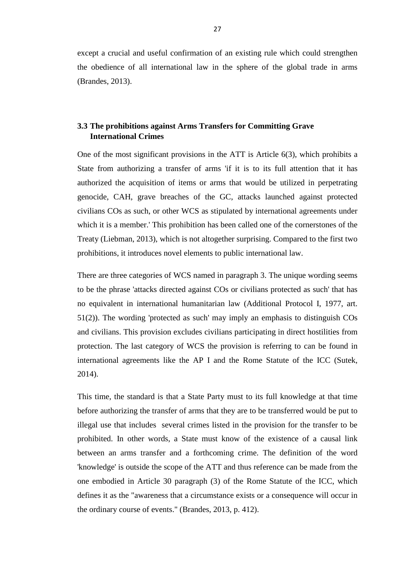except a crucial and useful confirmation of an existing rule which could strengthen the obedience of all international law in the sphere of the global trade in arms (Brandes, 2013).

### <span id="page-37-0"></span>**3.3 The prohibitions against Arms Transfers for Committing Grave International Crimes**

One of the most significant provisions in the ATT is Article 6(3), which prohibits a State from authorizing a transfer of arms 'if it is to its full attention that it has authorized the acquisition of items or arms that would be utilized in perpetrating genocide, CAH, grave breaches of the GC, attacks launched against protected civilians COs as such, or other WCS as stipulated by international agreements under which it is a member.' This prohibition has been called one of the cornerstones of the Treaty (Liebman, 2013), which is not altogether surprising. Compared to the first two prohibitions, it introduces novel elements to public international law.

There are three categories of WCS named in paragraph 3. The unique wording seems to be the phrase 'attacks directed against COs or civilians protected as such' that has no equivalent in international humanitarian law (Additional Protocol I, 1977, art. 51(2)). The wording 'protected as such' may imply an emphasis to distinguish COs and civilians. This provision excludes civilians participating in direct hostilities from protection. The last category of WCS the provision is referring to can be found in international agreements like the AP I and the Rome Statute of the ICC (Sutek, 2014).

This time, the standard is that a State Party must to its full knowledge at that time before authorizing the transfer of arms that they are to be transferred would be put to illegal use that includes several crimes listed in the provision for the transfer to be prohibited. In other words, a State must know of the existence of a causal link between an arms transfer and a forthcoming crime. The definition of the word 'knowledge' is outside the scope of the ATT and thus reference can be made from the one embodied in Article 30 paragraph (3) of the Rome Statute of the ICC, which defines it as the "awareness that a circumstance exists or a consequence will occur in the ordinary course of events." (Brandes, 2013, p. 412).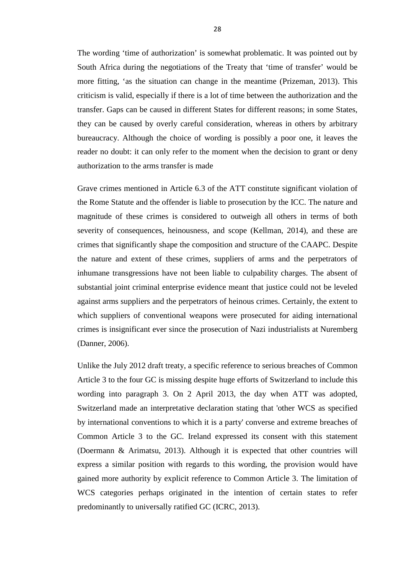The wording 'time of authorization' is somewhat problematic. It was pointed out by South Africa during the negotiations of the Treaty that 'time of transfer' would be more fitting, 'as the situation can change in the meantime (Prizeman, 2013). This criticism is valid, especially if there is a lot of time between the authorization and the transfer. Gaps can be caused in different States for different reasons; in some States, they can be caused by overly careful consideration, whereas in others by arbitrary bureaucracy. Although the choice of wording is possibly a poor one, it leaves the reader no doubt: it can only refer to the moment when the decision to grant or deny authorization to the arms transfer is made

Grave crimes mentioned in Article 6.3 of the ATT constitute significant violation of the Rome Statute and the offender is liable to prosecution by the ICC. The nature and magnitude of these crimes is considered to outweigh all others in terms of both severity of consequences, heinousness, and scope (Kellman, 2014), and these are crimes that significantly shape the composition and structure of the CAAPC. Despite the nature and extent of these crimes, suppliers of arms and the perpetrators of inhumane transgressions have not been liable to culpability charges. The absent of substantial joint criminal enterprise evidence meant that justice could not be leveled against arms suppliers and the perpetrators of heinous crimes. Certainly, the extent to which suppliers of conventional weapons were prosecuted for aiding international crimes is insignificant ever since the prosecution of Nazi industrialists at Nuremberg (Danner, 2006).

Unlike the July 2012 draft treaty, a specific reference to serious breaches of Common Article 3 to the four GC is missing despite huge efforts of Switzerland to include this wording into paragraph 3. On 2 April 2013, the day when ATT was adopted, Switzerland made an interpretative declaration stating that 'other WCS as specified by international conventions to which it is a party' converse and extreme breaches of Common Article 3 to the GC. Ireland expressed its consent with this statement (Doermann & Arimatsu, 2013). Although it is expected that other countries will express a similar position with regards to this wording, the provision would have gained more authority by explicit reference to Common Article 3. The limitation of WCS categories perhaps originated in the intention of certain states to refer predominantly to universally ratified GC (ICRC, 2013).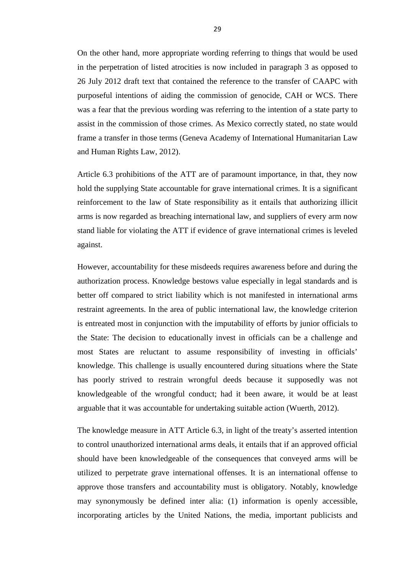On the other hand, more appropriate wording referring to things that would be used in the perpetration of listed atrocities is now included in paragraph 3 as opposed to 26 July 2012 draft text that contained the reference to the transfer of CAAPC with purposeful intentions of aiding the commission of genocide, CAH or WCS. There was a fear that the previous wording was referring to the intention of a state party to assist in the commission of those crimes. As Mexico correctly stated, no state would frame a transfer in those terms (Geneva Academy of International Humanitarian Law and Human Rights Law, 2012).

Article 6.3 prohibitions of the ATT are of paramount importance, in that, they now hold the supplying State accountable for grave international crimes. It is a significant reinforcement to the law of State responsibility as it entails that authorizing illicit arms is now regarded as breaching international law, and suppliers of every arm now stand liable for violating the ATT if evidence of grave international crimes is leveled against.

However, accountability for these misdeeds requires awareness before and during the authorization process. Knowledge bestows value especially in legal standards and is better off compared to strict liability which is not manifested in international arms restraint agreements. In the area of public international law, the knowledge criterion is entreated most in conjunction with the imputability of efforts by junior officials to the State: The decision to educationally invest in officials can be a challenge and most States are reluctant to assume responsibility of investing in officials' knowledge. This challenge is usually encountered during situations where the State has poorly strived to restrain wrongful deeds because it supposedly was not knowledgeable of the wrongful conduct; had it been aware, it would be at least arguable that it was accountable for undertaking suitable action (Wuerth, 2012).

The knowledge measure in ATT Article 6.3, in light of the treaty's asserted intention to control unauthorized international arms deals, it entails that if an approved official should have been knowledgeable of the consequences that conveyed arms will be utilized to perpetrate grave international offenses. It is an international offense to approve those transfers and accountability must is obligatory. Notably, knowledge may synonymously be defined inter alia: (1) information is openly accessible, incorporating articles by the United Nations, the media, important publicists and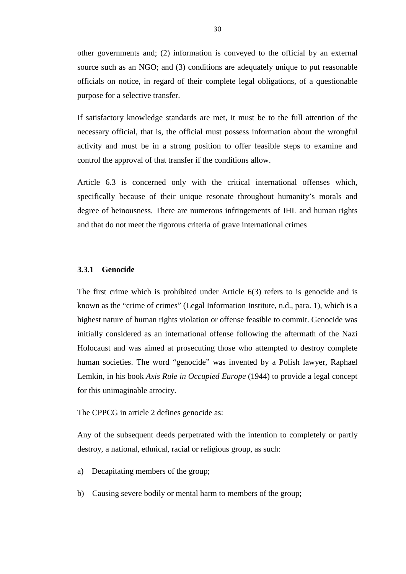other governments and; (2) information is conveyed to the official by an external source such as an NGO; and (3) conditions are adequately unique to put reasonable officials on notice, in regard of their complete legal obligations, of a questionable purpose for a selective transfer.

If satisfactory knowledge standards are met, it must be to the full attention of the necessary official, that is, the official must possess information about the wrongful activity and must be in a strong position to offer feasible steps to examine and control the approval of that transfer if the conditions allow.

Article 6.3 is concerned only with the critical international offenses which, specifically because of their unique resonate throughout humanity's morals and degree of heinousness. There are numerous infringements of IHL and human rights and that do not meet the rigorous criteria of grave international crimes

#### <span id="page-40-0"></span>**3.3.1 Genocide**

The first crime which is prohibited under Article 6(3) refers to is genocide and is known as the "crime of crimes" (Legal Information Institute, n.d., para. 1), which is a highest nature of human rights violation or offense feasible to commit. Genocide was initially considered as an international offense following the aftermath of the Nazi Holocaust and was aimed at prosecuting those who attempted to destroy complete human societies. The word "genocide" was invented by a Polish lawyer, Raphael Lemkin, in his book *Axis Rule in Occupied Europe* (1944) to provide a legal concept for this unimaginable atrocity.

The CPPCG in article 2 defines genocide as:

Any of the subsequent deeds perpetrated with the intention to completely or partly destroy, a national, ethnical, racial or religious group, as such:

- a) Decapitating members of the group;
- b) Causing severe bodily or mental harm to members of the group;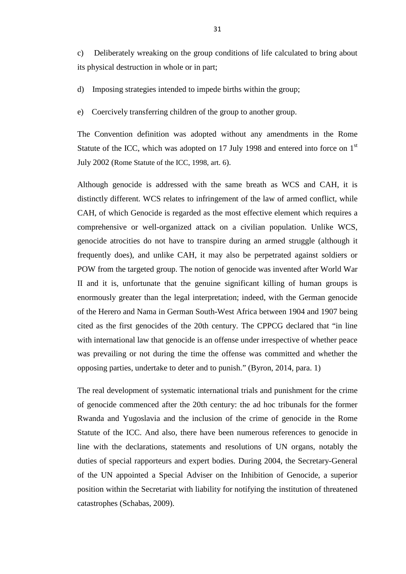c) Deliberately wreaking on the group conditions of life calculated to bring about its physical destruction in whole or in part;

d) Imposing strategies intended to impede births within the group;

e) Coercively transferring children of the group to another group.

The Convention definition was adopted without any amendments in the Rome Statute of the ICC, which was adopted on 17 July 1998 and entered into force on  $1<sup>st</sup>$ July 2002 (Rome Statute of the ICC, 1998, art. 6).

Although genocide is addressed with the same breath as WCS and CAH, it is distinctly different. WCS relates to infringement of the law of armed conflict, while CAH, of which Genocide is regarded as the most effective element which requires a comprehensive or well-organized attack on a civilian population. Unlike WCS, genocide atrocities do not have to transpire during an armed struggle (although it frequently does), and unlike CAH, it may also be perpetrated against soldiers or POW from the targeted group. The notion of genocide was invented after World War II and it is, unfortunate that the genuine significant killing of human groups is enormously greater than the legal interpretation; indeed, with the German genocide of the Herero and Nama in German South-West Africa between 1904 and 1907 being cited as the first genocides of the 20th century. The CPPCG declared that "in line with international law that genocide is an offense under irrespective of whether peace was prevailing or not during the time the offense was committed and whether the opposing parties, undertake to deter and to punish." (Byron, 2014, para. 1)

The real development of systematic international trials and punishment for the crime of genocide commenced after the 20th century: the ad hoc tribunals for the former Rwanda and Yugoslavia and the inclusion of the crime of genocide in the Rome Statute of the ICC. And also, there have been numerous references to genocide in line with the declarations, statements and resolutions of UN organs, notably the duties of special rapporteurs and expert bodies. During 2004, the Secretary-General of the UN appointed a Special Adviser on the Inhibition of Genocide, a superior position within the Secretariat with liability for notifying the institution of threatened catastrophes (Schabas, 2009).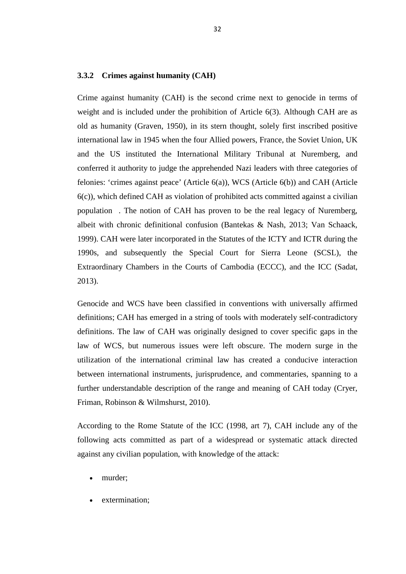#### <span id="page-42-0"></span>**3.3.2 Crimes against humanity (CAH)**

Crime against humanity (CAH) is the second crime next to genocide in terms of weight and is included under the prohibition of Article 6(3). Although CAH are as old as humanity (Graven, 1950), in its stern thought, solely first inscribed positive international law in 1945 when the four Allied powers, France, the Soviet Union, UK and the US instituted the International Military Tribunal at Nuremberg, and conferred it authority to judge the apprehended Nazi leaders with three categories of felonies: 'crimes against peace' (Article 6(a)), WCS (Article 6(b)) and CAH (Article 6(c)), which defined CAH as violation of prohibited acts committed against a civilian population . The notion of CAH has proven to be the real legacy of Nuremberg, albeit with chronic definitional confusion (Bantekas & Nash, 2013; Van Schaack, 1999). CAH were later incorporated in the Statutes of the ICTY and ICTR during the 1990s, and subsequently the Special Court for Sierra Leone (SCSL), the Extraordinary Chambers in the Courts of Cambodia (ECCC), and the ICC (Sadat, 2013).

Genocide and WCS have been classified in conventions with universally affirmed definitions; CAH has emerged in a string of tools with moderately self-contradictory definitions. The law of CAH was originally designed to cover specific gaps in the law of WCS, but numerous issues were left obscure. The modern surge in the utilization of the international criminal law has created a conducive interaction between international instruments, jurisprudence, and commentaries, spanning to a further understandable description of the range and meaning of CAH today (Cryer, Friman, Robinson & Wilmshurst, 2010).

According to the Rome Statute of the ICC (1998, art 7), CAH include any of the following acts committed as part of a widespread or systematic attack directed against any civilian population, with knowledge of the attack:

- murder;
- extermination;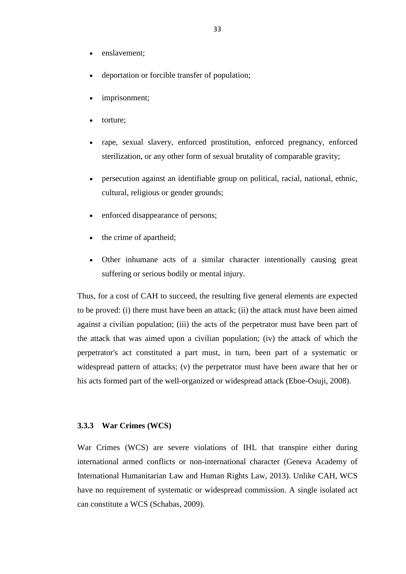- enslavement;
- deportation or forcible transfer of population;
- imprisonment;
- torture;
- rape, sexual slavery, enforced prostitution, enforced pregnancy, enforced sterilization, or any other form of sexual brutality of comparable gravity;
- persecution against an identifiable group on political, racial, national, ethnic, cultural, religious or gender grounds;
- enforced disappearance of persons;
- the crime of apartheid;
- Other inhumane acts of a similar character intentionally causing great suffering or serious bodily or mental injury.

Thus, for a cost of CAH to succeed, the resulting five general elements are expected to be proved: (i) there must have been an attack; (ii) the attack must have been aimed against a civilian population; (iii) the acts of the perpetrator must have been part of the attack that was aimed upon a civilian population; (iv) the attack of which the perpetrator's act constituted a part must, in turn, been part of a systematic or widespread pattern of attacks; (v) the perpetrator must have been aware that her or his acts formed part of the well-organized or widespread attack (Eboe-Osuji, 2008).

#### <span id="page-43-0"></span>**3.3.3 War Crimes (WCS)**

War Crimes (WCS) are severe violations of IHL that transpire either during international armed conflicts or non-international character (Geneva Academy of International Humanitarian Law and Human Rights Law, 2013). Unlike CAH, WCS have no requirement of systematic or widespread commission. A single isolated act can constitute a WCS (Schabas, 2009).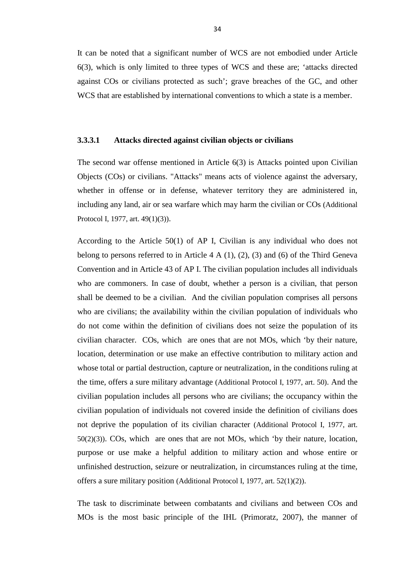It can be noted that a significant number of WCS are not embodied under Article 6(3), which is only limited to three types of WCS and these are; 'attacks directed against COs or civilians protected as such'; grave breaches of the GC, and other WCS that are established by international conventions to which a state is a member.

#### <span id="page-44-0"></span>**3.3.3.1 Attacks directed against civilian objects or civilians**

The second war offense mentioned in Article 6(3) is Attacks pointed upon Civilian Objects (COs) or civilians. "Attacks" means acts of violence against the adversary, whether in offense or in defense, whatever territory they are administered in, including any land, air or sea warfare which may harm the civilian or COs (Additional Protocol I, 1977, art. 49(1)(3)).

According to the Article 50(1) of AP I, Civilian is any individual who does not belong to persons referred to in Article  $4 \text{ A } (1)$ ,  $(2)$ ,  $(3)$  and  $(6)$  of the Third Geneva Convention and in Article 43 of AP I. The civilian population includes all individuals who are commoners. In case of doubt, whether a person is a civilian, that person shall be deemed to be a civilian. And the civilian population comprises all persons who are civilians; the availability within the civilian population of individuals who do not come within the definition of civilians does not seize the population of its civilian character. COs, which are ones that are not MOs, which 'by their nature, location, determination or use make an effective contribution to military action and whose total or partial destruction, capture or neutralization, in the conditions ruling at the time, offers a sure military advantage (Additional Protocol I, 1977, art. 50). And the civilian population includes all persons who are civilians; the occupancy within the civilian population of individuals not covered inside the definition of civilians does not deprive the population of its civilian character (Additional Protocol I, 1977, art. 50(2)(3)). COs, which are ones that are not MOs, which 'by their nature, location, purpose or use make a helpful addition to military action and whose entire or unfinished destruction, seizure or neutralization, in circumstances ruling at the time, offers a sure military position (Additional Protocol I, 1977, art. 52(1)(2)).

The task to discriminate between combatants and civilians and between COs and MOs is the most basic principle of the IHL (Primoratz, 2007), the manner of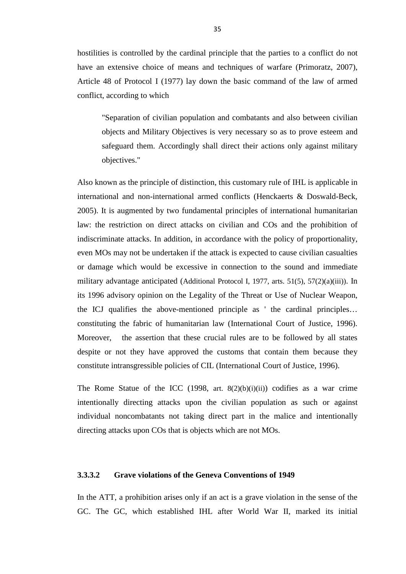hostilities is controlled by the cardinal principle that the parties to a conflict do not have an extensive choice of means and techniques of warfare (Primoratz, 2007), Article 48 of Protocol I (1977) lay down the basic command of the law of armed conflict, according to which

"Separation of civilian population and combatants and also between civilian objects and Military Objectives is very necessary so as to prove esteem and safeguard them. Accordingly shall direct their actions only against military objectives."

Also known as the principle of distinction, this customary rule of IHL is applicable in international and non-international armed conflicts (Henckaerts & Doswald-Beck, 2005). It is augmented by two fundamental principles of international humanitarian law: the restriction on direct attacks on civilian and COs and the prohibition of indiscriminate attacks. In addition, in accordance with the policy of proportionality, even MOs may not be undertaken if the attack is expected to cause civilian casualties or damage which would be excessive in connection to the sound and immediate military advantage anticipated (Additional Protocol I, 1977, arts. 51(5), 57(2)(a)(iii)). In its 1996 advisory opinion on the Legality of the Threat or Use of Nuclear Weapon, the ICJ qualifies the above-mentioned principle as ' the cardinal principles… constituting the fabric of humanitarian law (International Court of Justice, 1996). Moreover, the assertion that these crucial rules are to be followed by all states despite or not they have approved the customs that contain them because they constitute intransgressible policies of CIL (International Court of Justice, 1996).

The Rome Statue of the ICC  $(1998, art. 8(2)(b)(i)(ii))$  codifies as a war crime intentionally directing attacks upon the civilian population as such or against individual noncombatants not taking direct part in the malice and intentionally directing attacks upon COs that is objects which are not MOs.

### <span id="page-45-0"></span>**3.3.3.2 Grave violations of the Geneva Conventions of 1949**

In the ATT, a prohibition arises only if an act is a grave violation in the sense of the GC. The GC, which established IHL after World War II, marked its initial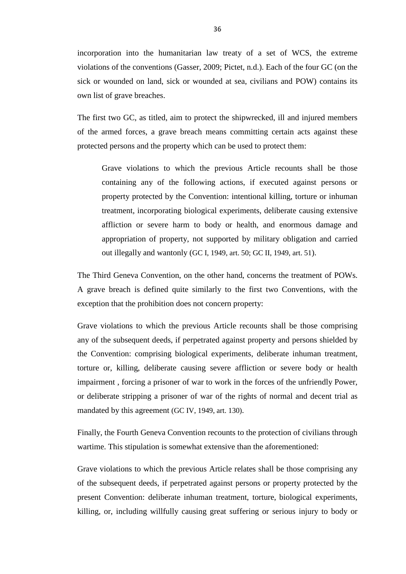incorporation into the humanitarian law treaty of a set of WCS, the extreme violations of the conventions (Gasser, 2009; Pictet, n.d.). Each of the four GC (on the sick or wounded on land, sick or wounded at sea, civilians and POW) contains its own list of grave breaches.

The first two GC, as titled, aim to protect the shipwrecked, ill and injured members of the armed forces, a grave breach means committing certain acts against these protected persons and the property which can be used to protect them:

Grave violations to which the previous Article recounts shall be those containing any of the following actions, if executed against persons or property protected by the Convention: intentional killing, torture or inhuman treatment, incorporating biological experiments, deliberate causing extensive affliction or severe harm to body or health, and enormous damage and appropriation of property, not supported by military obligation and carried out illegally and wantonly (GC I, 1949, art. 50; GC II, 1949, art. 51).

The Third Geneva Convention, on the other hand, concerns the treatment of POWs. A grave breach is defined quite similarly to the first two Conventions, with the exception that the prohibition does not concern property:

Grave violations to which the previous Article recounts shall be those comprising any of the subsequent deeds, if perpetrated against property and persons shielded by the Convention: comprising biological experiments, deliberate inhuman treatment, torture or, killing, deliberate causing severe affliction or severe body or health impairment , forcing a prisoner of war to work in the forces of the unfriendly Power, or deliberate stripping a prisoner of war of the rights of normal and decent trial as mandated by this agreement (GC IV, 1949, art. 130).

Finally, the Fourth Geneva Convention recounts to the protection of civilians through wartime. This stipulation is somewhat extensive than the aforementioned:

Grave violations to which the previous Article relates shall be those comprising any of the subsequent deeds, if perpetrated against persons or property protected by the present Convention: deliberate inhuman treatment, torture, biological experiments, killing, or, including willfully causing great suffering or serious injury to body or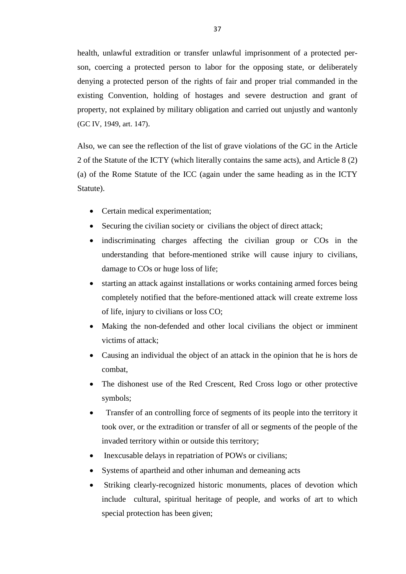health, unlawful extradition or transfer unlawful imprisonment of a protected person, coercing a protected person to labor for the opposing state, or deliberately denying a protected person of the rights of fair and proper trial commanded in the existing Convention, holding of hostages and severe destruction and grant of property, not explained by military obligation and carried out unjustly and wantonly (GC IV, 1949, art. 147).

Also, we can see the reflection of the list of grave violations of the GC in the Article 2 of the Statute of the ICTY (which literally contains the same acts), and Article 8 (2) (a) of the Rome Statute of the ICC (again under the same heading as in the ICTY Statute).

- Certain medical experimentation;
- Securing the civilian society or civilians the object of direct attack;
- indiscriminating charges affecting the civilian group or COs in the understanding that before-mentioned strike will cause injury to civilians, damage to COs or huge loss of life;
- starting an attack against installations or works containing armed forces being completely notified that the before-mentioned attack will create extreme loss of life, injury to civilians or loss CO;
- Making the non-defended and other local civilians the object or imminent victims of attack;
- Causing an individual the object of an attack in the opinion that he is hors de combat,
- The dishonest use of the Red Crescent, Red Cross logo or other protective symbols;
- Transfer of an controlling force of segments of its people into the territory it took over, or the extradition or transfer of all or segments of the people of the invaded territory within or outside this territory;
- Inexcusable delays in repatriation of POWs or civilians;
- Systems of apartheid and other inhuman and demeaning acts
- Striking clearly-recognized historic monuments, places of devotion which include cultural, spiritual heritage of people, and works of art to which special protection has been given;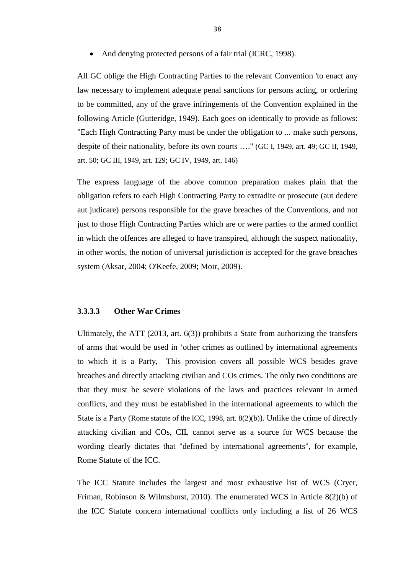• And denying protected persons of a fair trial (ICRC, 1998).

All GC oblige the High Contracting Parties to the relevant Convention 'to enact any law necessary to implement adequate penal sanctions for persons acting, or ordering to be committed, any of the grave infringements of the Convention explained in the following Article (Gutteridge, 1949). Each goes on identically to provide as follows: "Each High Contracting Party must be under the obligation to ... make such persons, despite of their nationality, before its own courts …." (GC I, 1949, art. 49; GC II, 1949, art. 50; GC III, 1949, art. 129; GC IV, 1949, art. 146)

The express language of the above common preparation makes plain that the obligation refers to each High Contracting Party to extradite or prosecute (aut dedere aut judicare) persons responsible for the grave breaches of the Conventions, and not just to those High Contracting Parties which are or were parties to the armed conflict in which the offences are alleged to have transpired, although the suspect nationality, in other words, the notion of universal jurisdiction is accepted for the grave breaches system (Aksar, 2004; O'Keefe, 2009; Moir, 2009).

#### <span id="page-48-0"></span>**3.3.3.3 Other War Crimes**

Ultimately, the ATT (2013, art. 6(3)) prohibits a State from authorizing the transfers of arms that would be used in 'other crimes as outlined by international agreements to which it is a Party, This provision covers all possible WCS besides grave breaches and directly attacking civilian and COs crimes. The only two conditions are that they must be severe violations of the laws and practices relevant in armed conflicts, and they must be established in the international agreements to which the State is a Party (Rome statute of the ICC, 1998, art. 8(2)(b)). Unlike the crime of directly attacking civilian and COs, CIL cannot serve as a source for WCS because the wording clearly dictates that "defined by international agreements", for example, Rome Statute of the ICC.

The ICC Statute includes the largest and most exhaustive list of WCS (Cryer, Friman, Robinson & Wilmshurst, 2010). The enumerated WCS in Article 8(2)(b) of the ICC Statute concern international conflicts only including a list of 26 WCS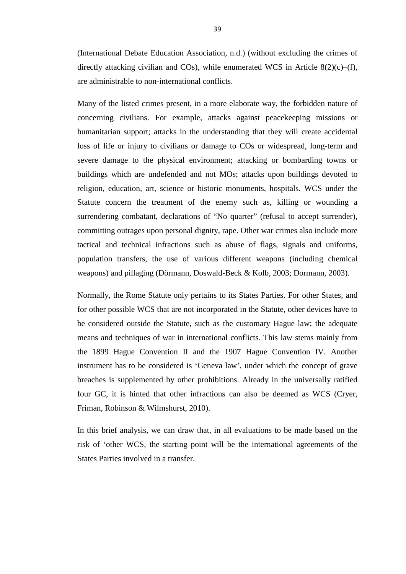(International Debate Education Association, n.d.) (without excluding the crimes of directly attacking civilian and COs), while enumerated WCS in Article  $8(2)(c)$ –(f), are administrable to non-international conflicts.

Many of the listed crimes present, in a more elaborate way, the forbidden nature of concerning civilians. For example, attacks against peacekeeping missions or humanitarian support; attacks in the understanding that they will create accidental loss of life or injury to civilians or damage to COs or widespread, long-term and severe damage to the physical environment; attacking or bombarding towns or buildings which are undefended and not MOs; attacks upon buildings devoted to religion, education, art, science or historic monuments, hospitals. WCS under the Statute concern the treatment of the enemy such as, killing or wounding a surrendering combatant, declarations of "No quarter" (refusal to accept surrender), committing outrages upon personal dignity, rape. Other war crimes also include more tactical and technical infractions such as abuse of flags, signals and uniforms, population transfers, the use of various different weapons (including chemical weapons) and pillaging (Dörmann, Doswald-Beck & Kolb, 2003; Dormann, 2003).

Normally, the Rome Statute only pertains to its States Parties. For other States, and for other possible WCS that are not incorporated in the Statute, other devices have to be considered outside the Statute, such as the customary Hague law; the adequate means and techniques of war in international conflicts. This law stems mainly from the 1899 Hague Convention II and the 1907 Hague Convention IV. Another instrument has to be considered is 'Geneva law', under which the concept of grave breaches is supplemented by other prohibitions. Already in the universally ratified four GC, it is hinted that other infractions can also be deemed as WCS (Cryer, Friman, Robinson & Wilmshurst, 2010).

In this brief analysis, we can draw that, in all evaluations to be made based on the risk of 'other WCS, the starting point will be the international agreements of the States Parties involved in a transfer.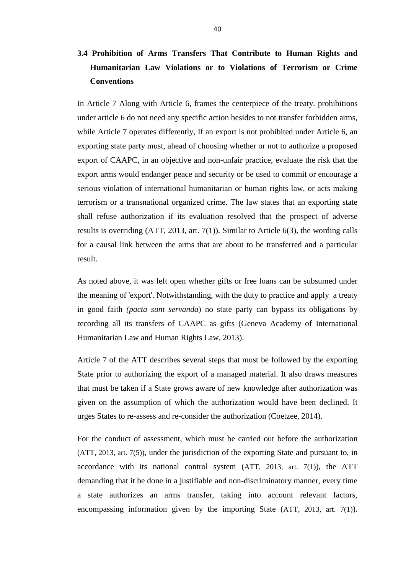# <span id="page-50-0"></span>**3.4 Prohibition of Arms Transfers That Contribute to Human Rights and Humanitarian Law Violations or to Violations of Terrorism or Crime Conventions**

In Article 7 Along with Article 6, frames the centerpiece of the treaty. prohibitions under article 6 do not need any specific action besides to not transfer forbidden arms, while Article 7 operates differently, If an export is not prohibited under Article 6, an exporting state party must, ahead of choosing whether or not to authorize a proposed export of CAAPC, in an objective and non-unfair practice, evaluate the risk that the export arms would endanger peace and security or be used to commit or encourage a serious violation of international humanitarian or human rights law, or acts making terrorism or a transnational organized crime. The law states that an exporting state shall refuse authorization if its evaluation resolved that the prospect of adverse results is overriding (ATT, 2013, art. 7(1)). Similar to Article 6(3), the wording calls for a causal link between the arms that are about to be transferred and a particular result.

As noted above, it was left open whether gifts or free loans can be subsumed under the meaning of 'export'. Notwithstanding, with the duty to practice and apply a treaty in good faith *(pacta sunt servanda*) no state party can bypass its obligations by recording all its transfers of CAAPC as gifts (Geneva Academy of International Humanitarian Law and Human Rights Law, 2013).

Article 7 of the ATT describes several steps that must be followed by the exporting State prior to authorizing the export of a managed material. It also draws measures that must be taken if a State grows aware of new knowledge after authorization was given on the assumption of which the authorization would have been declined. It urges States to re-assess and re-consider the authorization (Coetzee, 2014).

For the conduct of assessment, which must be carried out before the authorization (ATT, 2013, art. 7(5)), under the jurisdiction of the exporting State and pursuant to, in accordance with its national control system (ATT, 2013, art. 7(1)), the ATT demanding that it be done in a justifiable and non-discriminatory manner, every time a state authorizes an arms transfer, taking into account relevant factors, encompassing information given by the importing State (ATT, 2013, art. 7(1)).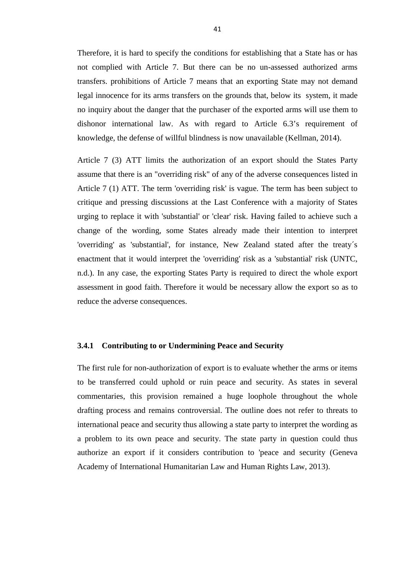Therefore, it is hard to specify the conditions for establishing that a State has or has not complied with Article 7. But there can be no un-assessed authorized arms transfers. prohibitions of Article 7 means that an exporting State may not demand legal innocence for its arms transfers on the grounds that, below its system, it made no inquiry about the danger that the purchaser of the exported arms will use them to dishonor international law. As with regard to Article 6.3's requirement of knowledge, the defense of willful blindness is now unavailable (Kellman, 2014).

Article 7 (3) ATT limits the authorization of an export should the States Party assume that there is an "overriding risk" of any of the adverse consequences listed in Article 7 (1) ATT. The term 'overriding risk' is vague. The term has been subject to critique and pressing discussions at the Last Conference with a majority of States urging to replace it with 'substantial' or 'clear' risk. Having failed to achieve such a change of the wording, some States already made their intention to interpret 'overriding' as 'substantial', for instance, New Zealand stated after the treaty´s enactment that it would interpret the 'overriding' risk as a 'substantial' risk (UNTC, n.d.). In any case, the exporting States Party is required to direct the whole export assessment in good faith. Therefore it would be necessary allow the export so as to reduce the adverse consequences.

#### <span id="page-51-0"></span>**3.4.1 Contributing to or Undermining Peace and Security**

The first rule for non-authorization of export is to evaluate whether the arms or items to be transferred could uphold or ruin peace and security. As states in several commentaries, this provision remained a huge loophole throughout the whole drafting process and remains controversial. The outline does not refer to threats to international peace and security thus allowing a state party to interpret the wording as a problem to its own peace and security. The state party in question could thus authorize an export if it considers contribution to 'peace and security (Geneva Academy of International Humanitarian Law and Human Rights Law, 2013).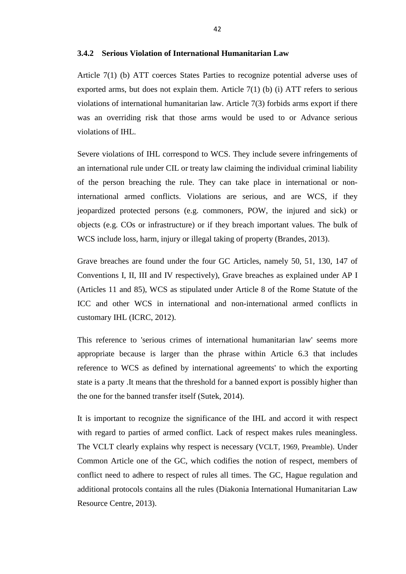# <span id="page-52-0"></span>**3.4.2 Serious Violation of International Humanitarian Law**

Article 7(1) (b) ATT coerces States Parties to recognize potential adverse uses of exported arms, but does not explain them. Article 7(1) (b) (i) ATT refers to serious violations of international humanitarian law. Article 7(3) forbids arms export if there was an overriding risk that those arms would be used to or Advance serious violations of IHL.

Severe violations of IHL correspond to WCS. They include severe infringements of an international rule under CIL or treaty law claiming the individual criminal liability of the person breaching the rule. They can take place in international or noninternational armed conflicts. Violations are serious, and are WCS, if they jeopardized protected persons (e.g. commoners, POW, the injured and sick) or objects (e.g. COs or infrastructure) or if they breach important values. The bulk of WCS include loss, harm, injury or illegal taking of property (Brandes, 2013).

Grave breaches are found under the four GC Articles, namely 50, 51, 130, 147 of Conventions I, II, III and IV respectively), Grave breaches as explained under AP I (Articles 11 and 85), WCS as stipulated under Article 8 of the Rome Statute of the ICC and other WCS in international and non-international armed conflicts in customary IHL (ICRC, 2012).

This reference to 'serious crimes of international humanitarian law' seems more appropriate because is larger than the phrase within Article 6.3 that includes reference to WCS as defined by international agreements' to which the exporting state is a party .It means that the threshold for a banned export is possibly higher than the one for the banned transfer itself (Sutek, 2014).

It is important to recognize the significance of the IHL and accord it with respect with regard to parties of armed conflict. Lack of respect makes rules meaningless. The VCLT clearly explains why respect is necessary (VCLT, 1969, Preamble). Under Common Article one of the GC, which codifies the notion of respect, members of conflict need to adhere to respect of rules all times. The GC, Hague regulation and additional protocols contains all the rules (Diakonia International Humanitarian Law Resource Centre, 2013).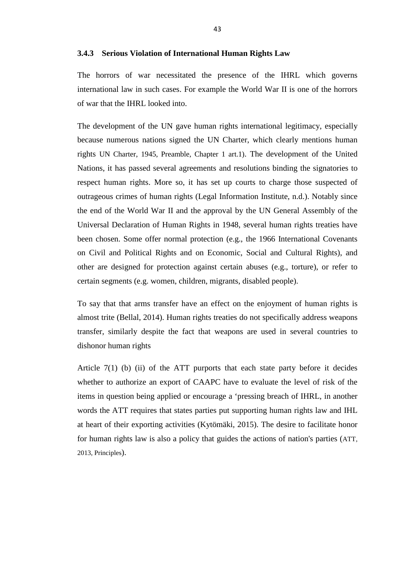#### <span id="page-53-0"></span>**3.4.3 Serious Violation of International Human Rights Law**

The horrors of war necessitated the presence of the IHRL which governs international law in such cases. For example the World War II is one of the horrors of war that the IHRL looked into.

The development of the UN gave human rights international legitimacy, especially because numerous nations signed the UN Charter, which clearly mentions human rights UN Charter, 1945, Preamble, Chapter 1 art.1). The development of the United Nations, it has passed several agreements and resolutions binding the signatories to respect human rights. More so, it has set up courts to charge those suspected of outrageous crimes of human rights (Legal Information Institute, n.d.). Notably since the end of the World War II and the approval by the UN General Assembly of the Universal Declaration of Human Rights in 1948, several human rights treaties have been chosen. Some offer normal protection (e.g., the 1966 International Covenants on Civil and Political Rights and on Economic, Social and Cultural Rights), and other are designed for protection against certain abuses (e.g., torture), or refer to certain segments (e.g. women, children, migrants, disabled people).

To say that that arms transfer have an effect on the enjoyment of human rights is almost trite (Bellal, 2014). Human rights treaties do not specifically address weapons transfer, similarly despite the fact that weapons are used in several countries to dishonor human rights

Article  $7(1)$  (b) (ii) of the ATT purports that each state party before it decides whether to authorize an export of CAAPC have to evaluate the level of risk of the items in question being applied or encourage a 'pressing breach of IHRL, in another words the ATT requires that states parties put supporting human rights law and IHL at heart of their exporting activities (Kytömäki, 2015). The desire to facilitate honor for human rights law is also a policy that guides the actions of nation's parties (ATT, 2013, Principles).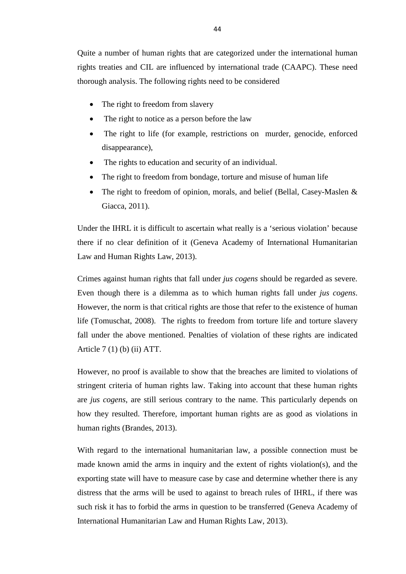Quite a number of human rights that are categorized under the international human rights treaties and CIL are influenced by international trade (CAAPC). These need thorough analysis. The following rights need to be considered

- The right to freedom from slavery
- The right to notice as a person before the law
- The right to life (for example, restrictions on murder, genocide, enforced disappearance),
- The rights to education and security of an individual.
- The right to freedom from bondage, torture and misuse of human life
- The right to freedom of opinion, morals, and belief (Bellal, Casey-Maslen & Giacca, 2011).

Under the IHRL it is difficult to ascertain what really is a 'serious violation' because there if no clear definition of it (Geneva Academy of International Humanitarian Law and Human Rights Law, 2013).

Crimes against human rights that fall under *jus cogens* should be regarded as severe. Even though there is a dilemma as to which human rights fall under *jus cogens*. However, the norm is that critical rights are those that refer to the existence of human life (Tomuschat, 2008). The rights to freedom from torture life and torture slavery fall under the above mentioned. Penalties of violation of these rights are indicated Article 7 (1) (b) (ii) ATT.

However, no proof is available to show that the breaches are limited to violations of stringent criteria of human rights law. Taking into account that these human rights are *jus cogens*, are still serious contrary to the name. This particularly depends on how they resulted. Therefore, important human rights are as good as violations in human rights (Brandes, 2013).

With regard to the international humanitarian law, a possible connection must be made known amid the arms in inquiry and the extent of rights violation(s), and the exporting state will have to measure case by case and determine whether there is any distress that the arms will be used to against to breach rules of IHRL, if there was such risk it has to forbid the arms in question to be transferred (Geneva Academy of International Humanitarian Law and Human Rights Law, 2013).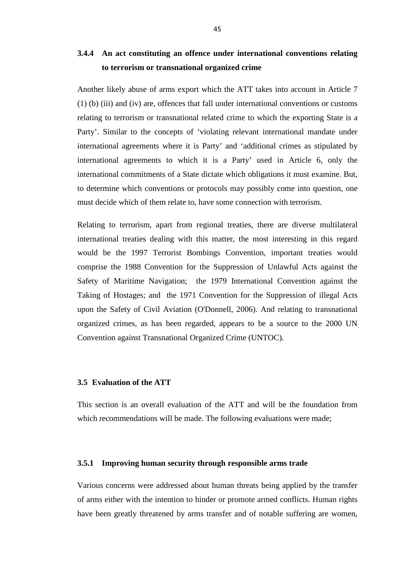# <span id="page-55-0"></span>**3.4.4 An act constituting an offence under international conventions relating to terrorism or transnational organized crime**

Another likely abuse of arms export which the ATT takes into account in Article 7 (1) (b) (iii) and (iv) are, offences that fall under international conventions or customs relating to terrorism or transnational related crime to which the exporting State is a Party'. Similar to the concepts of 'violating relevant international mandate under international agreements where it is Party' and 'additional crimes as stipulated by international agreements to which it is a Party' used in Article 6, only the international commitments of a State dictate which obligations it must examine. But, to determine which conventions or protocols may possibly come into question, one must decide which of them relate to, have some connection with terrorism.

Relating to terrorism, apart from regional treaties, there are diverse multilateral international treaties dealing with this matter, the most interesting in this regard would be the 1997 Terrorist Bombings Convention, important treaties would comprise the 1988 Convention for the Suppression of Unlawful Acts against the Safety of Maritime Navigation; the 1979 International Convention against the Taking of Hostages; and the 1971 Convention for the Suppression of illegal Acts upon the Safety of Civil Aviation (O'Donnell, 2006). And relating to transnational organized crimes, as has been regarded, appears to be a source to the 2000 UN Convention against Transnational Organized Crime (UNTOC).

#### <span id="page-55-1"></span>**3.5 Evaluation of the ATT**

This section is an overall evaluation of the ATT and will be the foundation from which recommendations will be made. The following evaluations were made;

#### <span id="page-55-2"></span>**3.5.1 Improving human security through responsible arms trade**

Various concerns were addressed about human threats being applied by the transfer of arms either with the intention to hinder or promote armed conflicts. Human rights have been greatly threatened by arms transfer and of notable suffering are women,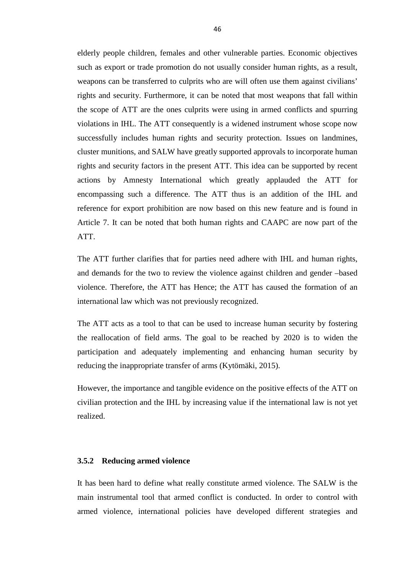elderly people children, females and other vulnerable parties. Economic objectives such as export or trade promotion do not usually consider human rights, as a result, weapons can be transferred to culprits who are will often use them against civilians' rights and security. Furthermore, it can be noted that most weapons that fall within the scope of ATT are the ones culprits were using in armed conflicts and spurring violations in IHL. The ATT consequently is a widened instrument whose scope now successfully includes human rights and security protection. Issues on landmines, cluster munitions, and SALW have greatly supported approvals to incorporate human rights and security factors in the present ATT. This idea can be supported by recent actions by Amnesty International which greatly applauded the ATT for encompassing such a difference. The ATT thus is an addition of the IHL and reference for export prohibition are now based on this new feature and is found in Article 7. It can be noted that both human rights and CAAPC are now part of the ATT.

The ATT further clarifies that for parties need adhere with IHL and human rights, and demands for the two to review the violence against children and gender –based violence. Therefore, the ATT has Hence; the ATT has caused the formation of an international law which was not previously recognized.

The ATT acts as a tool to that can be used to increase human security by fostering the reallocation of field arms. The goal to be reached by 2020 is to widen the participation and adequately implementing and enhancing human security by reducing the inappropriate transfer of arms (Kytömäki, 2015).

However, the importance and tangible evidence on the positive effects of the ATT on civilian protection and the IHL by increasing value if the international law is not yet realized.

#### <span id="page-56-0"></span>**3.5.2 Reducing armed violence**

It has been hard to define what really constitute armed violence. The SALW is the main instrumental tool that armed conflict is conducted. In order to control with armed violence, international policies have developed different strategies and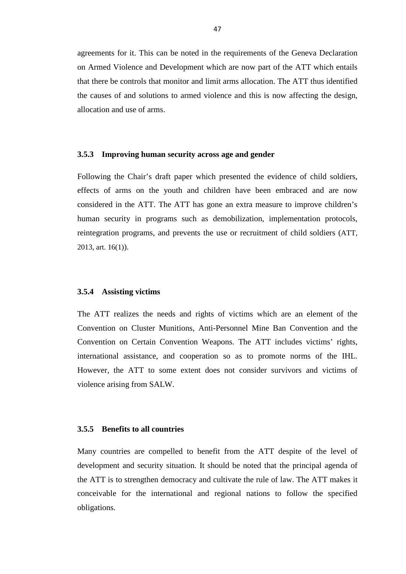agreements for it. This can be noted in the requirements of the Geneva Declaration on Armed Violence and Development which are now part of the ATT which entails that there be controls that monitor and limit arms allocation. The ATT thus identified the causes of and solutions to armed violence and this is now affecting the design, allocation and use of arms.

#### <span id="page-57-0"></span>**3.5.3 Improving human security across age and gender**

Following the Chair's draft paper which presented the evidence of child soldiers, effects of arms on the youth and children have been embraced and are now considered in the ATT. The ATT has gone an extra measure to improve children's human security in programs such as demobilization, implementation protocols, reintegration programs, and prevents the use or recruitment of child soldiers (ATT, 2013, art. 16(1)).

#### <span id="page-57-1"></span>**3.5.4 Assisting victims**

The ATT realizes the needs and rights of victims which are an element of the Convention on Cluster Munitions, Anti-Personnel Mine Ban Convention and the Convention on Certain Convention Weapons. The ATT includes victims' rights, international assistance, and cooperation so as to promote norms of the IHL. However, the ATT to some extent does not consider survivors and victims of violence arising from SALW.

### <span id="page-57-2"></span>**3.5.5 Benefits to all countries**

Many countries are compelled to benefit from the ATT despite of the level of development and security situation. It should be noted that the principal agenda of the ATT is to strengthen democracy and cultivate the rule of law. The ATT makes it conceivable for the international and regional nations to follow the specified obligations.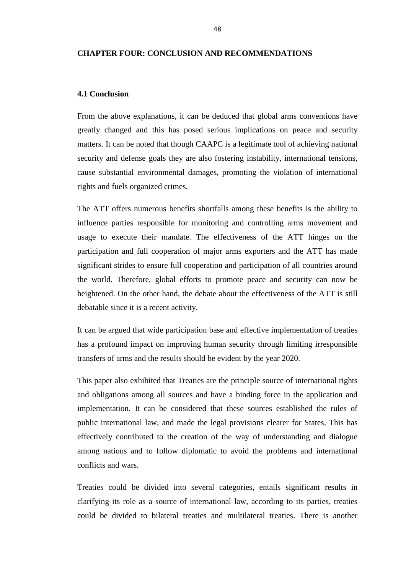#### <span id="page-58-0"></span>**CHAPTER FOUR: CONCLUSION AND RECOMMENDATIONS**

#### <span id="page-58-1"></span>**4.1 Conclusion**

From the above explanations, it can be deduced that global arms conventions have greatly changed and this has posed serious implications on peace and security matters. It can be noted that though CAAPC is a legitimate tool of achieving national security and defense goals they are also fostering instability, international tensions, cause substantial environmental damages, promoting the violation of international rights and fuels organized crimes.

The ATT offers numerous benefits shortfalls among these benefits is the ability to influence parties responsible for monitoring and controlling arms movement and usage to execute their mandate. The effectiveness of the ATT hinges on the participation and full cooperation of major arms exporters and the ATT has made significant strides to ensure full cooperation and participation of all countries around the world. Therefore, global efforts to promote peace and security can now be heightened. On the other hand, the debate about the effectiveness of the ATT is still debatable since it is a recent activity.

It can be argued that wide participation base and effective implementation of treaties has a profound impact on improving human security through limiting irresponsible transfers of arms and the results should be evident by the year 2020.

This paper also exhibited that Treaties are the principle source of international rights and obligations among all sources and have a binding force in the application and implementation. It can be considered that these sources established the rules of public international law, and made the legal provisions clearer for States, This has effectively contributed to the creation of the way of understanding and dialogue among nations and to follow diplomatic to avoid the problems and international conflicts and wars.

Treaties could be divided into several categories, entails significant results in clarifying its role as a source of international law, according to its parties, treaties could be divided to bilateral treaties and multilateral treaties. There is another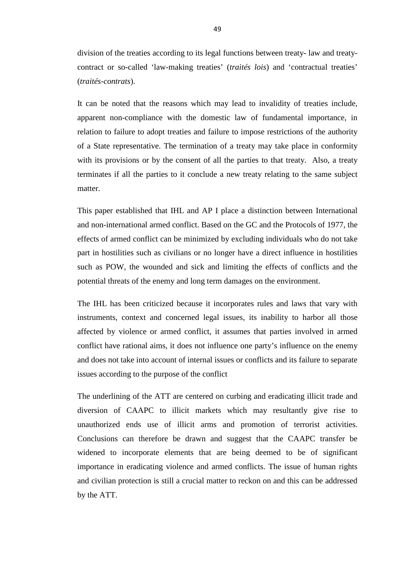division of the treaties according to its legal functions between treaty- law and treatycontract or so-called 'law-making treaties' (*traités lois*) and 'contractual treaties' (*traités-contrats*).

It can be noted that the reasons which may lead to invalidity of treaties include, apparent non-compliance with the domestic law of fundamental importance, in relation to failure to adopt treaties and failure to impose restrictions of the authority of a State representative. The termination of a treaty may take place in conformity with its provisions or by the consent of all the parties to that treaty. Also, a treaty terminates if all the parties to it conclude a new treaty relating to the same subject matter.

This paper established that IHL and AP I place a distinction between International and non-international armed conflict. Based on the GC and the Protocols of 1977, the effects of armed conflict can be minimized by excluding individuals who do not take part in hostilities such as civilians or no longer have a direct influence in hostilities such as POW, the wounded and sick and limiting the effects of conflicts and the potential threats of the enemy and long term damages on the environment.

The IHL has been criticized because it incorporates rules and laws that vary with instruments, context and concerned legal issues, its inability to harbor all those affected by violence or armed conflict, it assumes that parties involved in armed conflict have rational aims, it does not influence one party's influence on the enemy and does not take into account of internal issues or conflicts and its failure to separate issues according to the purpose of the conflict

The underlining of the ATT are centered on curbing and eradicating illicit trade and diversion of CAAPC to illicit markets which may resultantly give rise to unauthorized ends use of illicit arms and promotion of terrorist activities. Conclusions can therefore be drawn and suggest that the CAAPC transfer be widened to incorporate elements that are being deemed to be of significant importance in eradicating violence and armed conflicts. The issue of human rights and civilian protection is still a crucial matter to reckon on and this can be addressed by the ATT.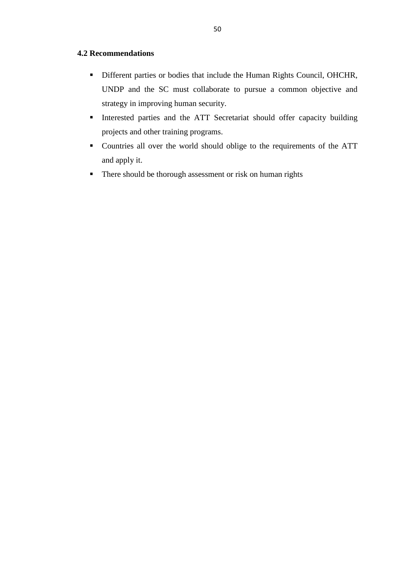# <span id="page-60-0"></span>**4.2 Recommendations**

- Different parties or bodies that include the Human Rights Council, OHCHR, UNDP and the SC must collaborate to pursue a common objective and strategy in improving human security.
- Interested parties and the ATT Secretariat should offer capacity building projects and other training programs.
- Countries all over the world should oblige to the requirements of the ATT and apply it.
- **There should be thorough assessment or risk on human rights**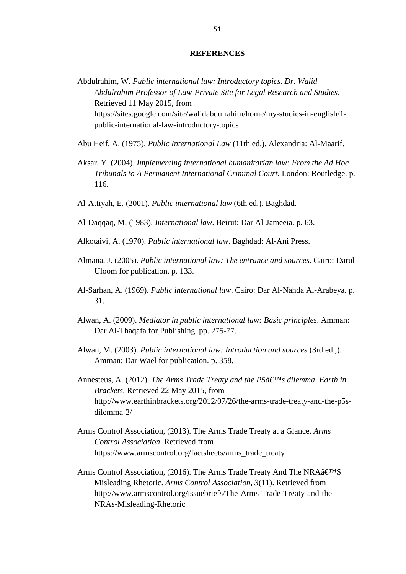#### **REFERENCES**

- <span id="page-61-0"></span>Abdulrahim, W. *Public international law: Introductory topics*. *Dr. Walid Abdulrahim Professor of Law-Private Site for Legal Research and Studies*. Retrieved 11 May 2015, from https://sites.google.com/site/walidabdulrahim/home/my-studies-in-english/1 public-international-law-introductory-topics
- Abu Heif, A. (1975). *Public International Law* (11th ed.). Alexandria: Al-Maarif.
- Aksar, Y. (2004). *Implementing international humanitarian law: From the Ad Hoc Tribunals to A Permanent International Criminal Court*. London: Routledge. p. 116.
- Al-Attiyah, E. (2001). *Public international law* (6th ed.). Baghdad.
- Al-Daqqaq, M. (1983). *International law*. Beirut: Dar Al-Jameeia. p. 63.
- Alkotaivi, A. (1970). *Public international law*. Baghdad: Al-Ani Press.
- Almana, J. (2005). *Public international law: The entrance and sources*. Cairo: Darul Uloom for publication. p. 133.
- Al-Sarhan, A. (1969). *Public international law*. Cairo: Dar Al-Nahda Al-Arabeya. p. 31.
- Alwan, A. (2009). *Mediator in public international law: Basic principles*. Amman: Dar Al-Thaqafa for Publishing. pp. 275-77.
- Alwan, M. (2003). *Public international law: Introduction and sources* (3rd ed.,). Amman: Dar Wael for publication. p. 358.
- Annesteus, A. (2012). *The Arms Trade Treaty and the P5â€<sup>™</sup>s dilemma. Earth in Brackets*. Retrieved 22 May 2015, from http://www.earthinbrackets.org/2012/07/26/the-arms-trade-treaty-and-the-p5sdilemma-2/
- Arms Control Association, (2013). The Arms Trade Treaty at a Glance. *Arms Control Association*. Retrieved from https://www.armscontrol.org/factsheets/arms\_trade\_treaty
- Arms Control Association, (2016). The Arms Trade Treaty And The NRA $â€<sup>M</sup>S$ Misleading Rhetoric. *Arms Control Association*, *3*(11). Retrieved from http://www.armscontrol.org/issuebriefs/The-Arms-Trade-Treaty-and-the-NRAs-Misleading-Rhetoric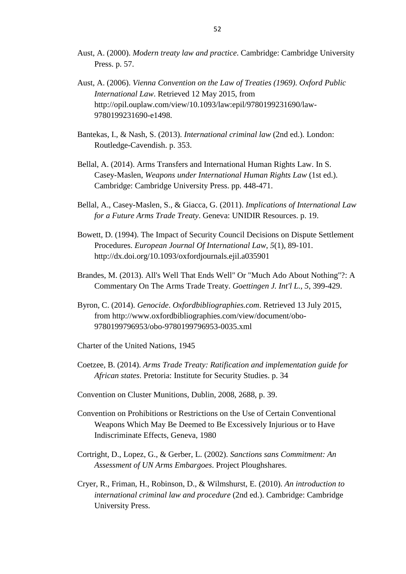- Aust, A. (2000). *Modern treaty law and practice*. Cambridge: Cambridge University Press. p. 57.
- Aust, A. (2006). *Vienna Convention on the Law of Treaties (1969)*. *Oxford Public International Law*. Retrieved 12 May 2015, from http://opil.ouplaw.com/view/10.1093/law:epil/9780199231690/law-9780199231690-e1498.
- Bantekas, I., & Nash, S. (2013). *International criminal law* (2nd ed.). London: Routledge-Cavendish. p. 353.
- Bellal, A. (2014). Arms Transfers and International Human Rights Law. In S. Casey-Maslen, *Weapons under International Human Rights Law* (1st ed.). Cambridge: Cambridge University Press. pp. 448-471.
- Bellal, A., Casey-Maslen, S., & Giacca, G. (2011). *Implications of International Law for a Future Arms Trade Treaty*. Geneva: UNIDIR Resources. p. 19.
- Bowett, D. (1994). The Impact of Security Council Decisions on Dispute Settlement Procedures. *European Journal Of International Law*, *5*(1), 89-101. http://dx.doi.org/10.1093/oxfordjournals.ejil.a035901
- Brandes, M. (2013). All's Well That Ends Well" Or "Much Ado About Nothing"?: A Commentary On The Arms Trade Treaty. *Goettingen J. Int'l L.*, *5*, 399-429.
- Byron, C. (2014). *Genocide*. *Oxfordbibliographies.com*. Retrieved 13 July 2015, from http://www.oxfordbibliographies.com/view/document/obo-9780199796953/obo-9780199796953-0035.xml
- Charter of the United Nations, 1945
- Coetzee, B. (2014). *Arms Trade Treaty: Ratification and implementation guide for African states*. Pretoria: Institute for Security Studies. p. 34
- Convention on Cluster Munitions, Dublin, 2008, 2688, p. 39.
- Convention on Prohibitions or Restrictions on the Use of Certain Conventional Weapons Which May Be Deemed to Be Excessively Injurious or to Have Indiscriminate Effects, Geneva, 1980
- Cortright, D., Lopez, G., & Gerber, L. (2002). *Sanctions sans Commitment: An Assessment of UN Arms Embargoes*. Project Ploughshares.
- Cryer, R., Friman, H., Robinson, D., & Wilmshurst, E. (2010). *An introduction to international criminal law and procedure* (2nd ed.). Cambridge: Cambridge University Press.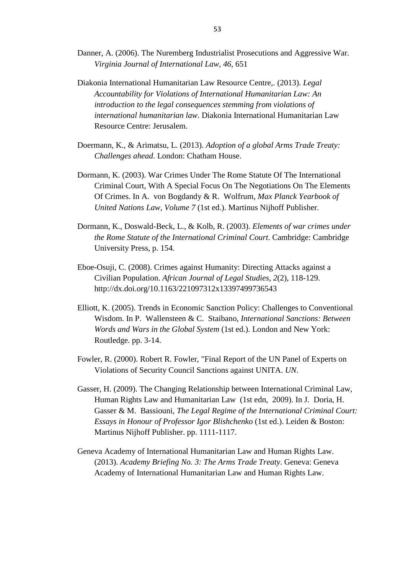Danner, A. (2006). The Nuremberg Industrialist Prosecutions and Aggressive War. *Virginia Journal of International Law*, *46*, 651

Diakonia International Humanitarian Law Resource Centre,. (2013). *Legal Accountability for Violations of International Humanitarian Law: An introduction to the legal consequences stemming from violations of international humanitarian law*. Diakonia International Humanitarian Law Resource Centre: Jerusalem.

- Doermann, K., & Arimatsu, L. (2013). *Adoption of a global Arms Trade Treaty: Challenges ahead*. London: Chatham House.
- Dormann, K. (2003). War Crimes Under The Rome Statute Of The International Criminal Court, With A Special Focus On The Negotiations On The Elements Of Crimes. In A. von Bogdandy & R. Wolfrum, *Max Planck Yearbook of United Nations Law, Volume 7* (1st ed.). Martinus Nijhoff Publisher.
- Dormann, K., Doswald-Beck, L., & Kolb, R. (2003). *Elements of war crimes under the Rome Statute of the International Criminal Court*. Cambridge: Cambridge University Press, p. 154.
- Eboe-Osuji, C. (2008). Crimes against Humanity: Directing Attacks against a Civilian Population. *African Journal of Legal Studies*, *2*(2), 118-129. http://dx.doi.org/10.1163/221097312x13397499736543
- Elliott, K. (2005). Trends in Economic Sanction Policy: Challenges to Conventional Wisdom. In P. Wallensteen & C. Staibano, *International Sanctions: Between Words and Wars in the Global System* (1st ed.). London and New York: Routledge. pp. 3-14.
- Fowler, R. (2000). Robert R. Fowler, "Final Report of the UN Panel of Experts on Violations of Security Council Sanctions against UNITA. *UN*.
- Gasser, H. (2009). The Changing Relationship between International Criminal Law, Human Rights Law and Humanitarian Law (1st edn, 2009). In J. Doria, H. Gasser & M. Bassiouni, *The Legal Regime of the International Criminal Court: Essays in Honour of Professor Igor Blishchenko* (1st ed.). Leiden & Boston: Martinus Nijhoff Publisher. pp. 1111-1117.
- Geneva Academy of International Humanitarian Law and Human Rights Law. (2013). *Academy Briefing No. 3: The Arms Trade Treaty*. Geneva: Geneva Academy of International Humanitarian Law and Human Rights Law.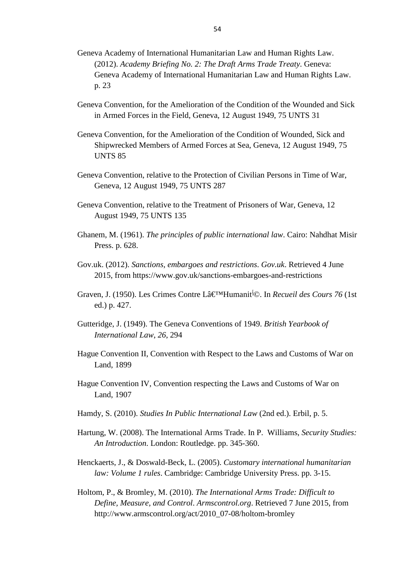- Geneva Academy of International Humanitarian Law and Human Rights Law. (2012). *Academy Briefing No. 2: The Draft Arms Trade Treaty*. Geneva: Geneva Academy of International Humanitarian Law and Human Rights Law. p. 23
- Geneva Convention, for the Amelioration of the Condition of the Wounded and Sick in Armed Forces in the Field, Geneva, 12 August 1949, 75 UNTS 31
- Geneva Convention, for the Amelioration of the Condition of Wounded, Sick and Shipwrecked Members of Armed Forces at Sea, Geneva, 12 August 1949, 75 UNTS 85
- Geneva Convention, relative to the Protection of Civilian Persons in Time of War, Geneva, 12 August 1949, 75 UNTS 287
- Geneva Convention, relative to the Treatment of Prisoners of War, Geneva, 12 August 1949, 75 UNTS 135
- Ghanem, M. (1961). *The principles of public international law*. Cairo: Nahdhat Misir Press. p. 628.
- Gov.uk. (2012). *Sanctions, embargoes and restrictions*. *Gov.uk*. Retrieved 4 June 2015, from https://www.gov.uk/sanctions-embargoes-and-restrictions
- Graven, J. (1950). Les Crimes Contre Lâ€<sup>M</sup>Humanit<sup>i</sup>©. In *Recueil des Cours 76* (1st ed.) p. 427.
- Gutteridge, J. (1949). The Geneva Conventions of 1949. *British Yearbook of International Law*, *26*, 294
- Hague Convention II, Convention with Respect to the Laws and Customs of War on Land, 1899
- Hague Convention IV, Convention respecting the Laws and Customs of War on Land, 1907
- Hamdy, S. (2010). *Studies In Public International Law* (2nd ed.). Erbil, p. 5.
- Hartung, W. (2008). The International Arms Trade. In P. Williams, *Security Studies: An Introduction*. London: Routledge. pp. 345-360.
- Henckaerts, J., & Doswald-Beck, L. (2005). *Customary international humanitarian law: Volume 1 rules*. Cambridge: Cambridge University Press. pp. 3-15.
- Holtom, P., & Bromley, M. (2010). *The International Arms Trade: Difficult to Define, Measure, and Control*. *Armscontrol.org*. Retrieved 7 June 2015, from http://www.armscontrol.org/act/2010\_07-08/holtom-bromley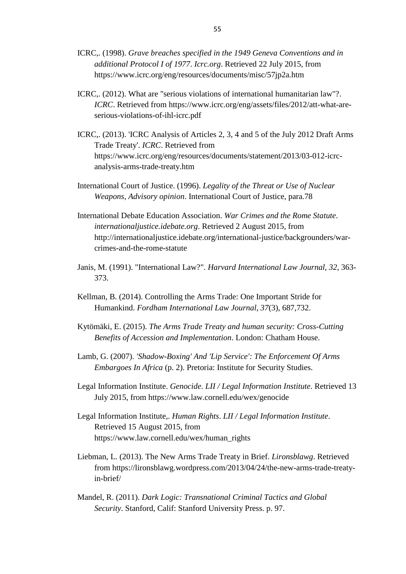- ICRC,. (1998). *Grave breaches specified in the 1949 Geneva Conventions and in additional Protocol I of 1977*. *Icrc.org*. Retrieved 22 July 2015, from https://www.icrc.org/eng/resources/documents/misc/57jp2a.htm
- ICRC,. (2012). What are "serious violations of international humanitarian law"?. *ICRC*. Retrieved from https://www.icrc.org/eng/assets/files/2012/att-what-areserious-violations-of-ihl-icrc.pdf
- ICRC,. (2013). 'ICRC Analysis of Articles 2, 3, 4 and 5 of the July 2012 Draft Arms Trade Treaty'. *ICRC*. Retrieved from https://www.icrc.org/eng/resources/documents/statement/2013/03-012-icrcanalysis-arms-trade-treaty.htm
- International Court of Justice. (1996). *Legality of the Threat or Use of Nuclear Weapons, Advisory opinion*. International Court of Justice, para.78
- International Debate Education Association. *War Crimes and the Rome Statute*. *internationaljustice.idebate.org*. Retrieved 2 August 2015, from http://internationaljustice.idebate.org/international-justice/backgrounders/warcrimes-and-the-rome-statute
- Janis, M. (1991). "International Law?". *Harvard International Law Journal*, *32*, 363- 373.
- Kellman, B. (2014). Controlling the Arms Trade: One Important Stride for Humankind. *Fordham International Law Journal*, *37*(3), 687,732.
- Kytömäki, E. (2015). *The Arms Trade Treaty and human security: Cross-Cutting Benefits of Accession and Implementation*. London: Chatham House.
- Lamb, G. (2007). *'Shadow-Boxing' And 'Lip Service': The Enforcement Of Arms Embargoes In Africa* (p. 2). Pretoria: Institute for Security Studies.
- Legal Information Institute. *Genocide*. *LII / Legal Information Institute*. Retrieved 13 July 2015, from https://www.law.cornell.edu/wex/genocide
- Legal Information Institute,. *Human Rights*. *LII / Legal Information Institute*. Retrieved 15 August 2015, from https://www.law.cornell.edu/wex/human\_rights
- Liebman, L. (2013). The New Arms Trade Treaty in Brief. *Lironsblawg*. Retrieved from https://lironsblawg.wordpress.com/2013/04/24/the-new-arms-trade-treatyin-brief/
- Mandel, R. (2011). *Dark Logic: Transnational Criminal Tactics and Global Security*. Stanford, Calif: Stanford University Press. p. 97.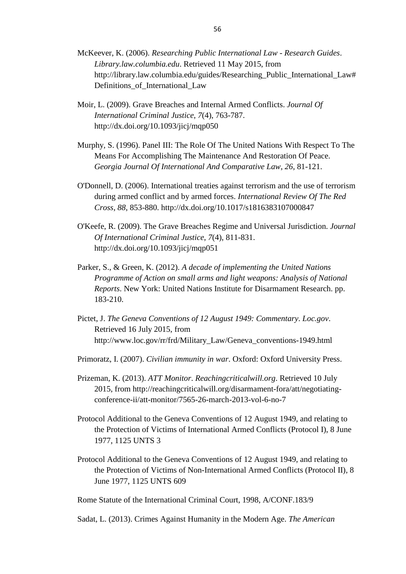- McKeever, K. (2006). *Researching Public International Law - Research Guides*. *Library.law.columbia.edu*. Retrieved 11 May 2015, from http://library.law.columbia.edu/guides/Researching\_Public\_International\_Law# Definitions\_of\_International\_Law
- Moir, L. (2009). Grave Breaches and Internal Armed Conflicts. *Journal Of International Criminal Justice*, *7*(4), 763-787. http://dx.doi.org/10.1093/jicj/mqp050
- Murphy, S. (1996). Panel III: The Role Of The United Nations With Respect To The Means For Accomplishing The Maintenance And Restoration Of Peace. *Georgia Journal Of International And Comparative Law*, *26*, 81-121.
- O'Donnell, D. (2006). International treaties against terrorism and the use of terrorism during armed conflict and by armed forces. *International Review Of The Red Cross*, *88*, 853-880. http://dx.doi.org/10.1017/s1816383107000847
- O'Keefe, R. (2009). The Grave Breaches Regime and Universal Jurisdiction. *Journal Of International Criminal Justice*, *7*(4), 811-831. http://dx.doi.org/10.1093/jicj/mqp051
- Parker, S., & Green, K. (2012). *A decade of implementing the United Nations Programme of Action on small arms and light weapons: Analysis of National Reports*. New York: United Nations Institute for Disarmament Research. pp. 183-210.
- Pictet, J. *The Geneva Conventions of 12 August 1949: Commentary*. *Loc.gov*. Retrieved 16 July 2015, from http://www.loc.gov/rr/frd/Military\_Law/Geneva\_conventions-1949.html
- Primoratz, I. (2007). *Civilian immunity in war*. Oxford: Oxford University Press.
- Prizeman, K. (2013). *ATT Monitor*. *Reachingcriticalwill.org*. Retrieved 10 July 2015, from http://reachingcriticalwill.org/disarmament-fora/att/negotiatingconference-ii/att-monitor/7565-26-march-2013-vol-6-no-7
- Protocol Additional to the Geneva Conventions of 12 August 1949, and relating to the Protection of Victims of International Armed Conflicts (Protocol I), 8 June 1977, 1125 UNTS 3
- Protocol Additional to the Geneva Conventions of 12 August 1949, and relating to the Protection of Victims of Non-International Armed Conflicts (Protocol II), 8 June 1977, 1125 UNTS 609

Rome Statute of the International Criminal Court, 1998, A/CONF.183/9

Sadat, L. (2013). Crimes Against Humanity in the Modern Age. *The American*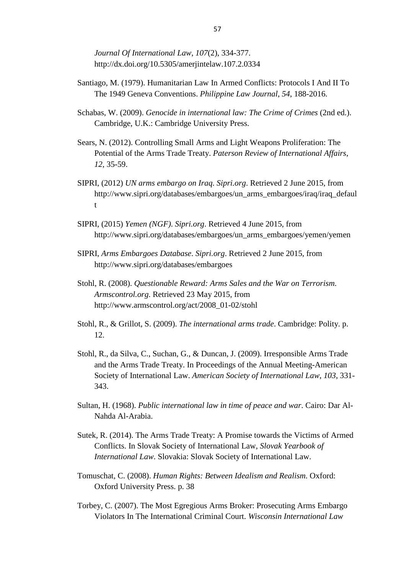*Journal Of International Law*, *107*(2), 334-377. http://dx.doi.org/10.5305/amerjintelaw.107.2.0334

- Santiago, M. (1979). Humanitarian Law In Armed Conflicts: Protocols I And II To The 1949 Geneva Conventions. *Philippine Law Journal*, *54*, 188-2016.
- Schabas, W. (2009). *Genocide in international law: The Crime of Crimes* (2nd ed.). Cambridge, U.K.: Cambridge University Press.
- Sears, N. (2012). Controlling Small Arms and Light Weapons Proliferation: The Potential of the Arms Trade Treaty. *Paterson Review of International Affairs*, *12*, 35-59.
- SIPRI, (2012) *UN arms embargo on Iraq*. *Sipri.org*. Retrieved 2 June 2015, from http://www.sipri.org/databases/embargoes/un\_arms\_embargoes/iraq/iraq\_defaul t
- SIPRI, (2015) *Yemen (NGF)*. *Sipri.org*. Retrieved 4 June 2015, from http://www.sipri.org/databases/embargoes/un\_arms\_embargoes/yemen/yemen
- SIPRI, *Arms Embargoes Database*. *Sipri.org*. Retrieved 2 June 2015, from http://www.sipri.org/databases/embargoes
- Stohl, R. (2008). *Questionable Reward: Arms Sales and the War on Terrorism*. *Armscontrol.org*. Retrieved 23 May 2015, from http://www.armscontrol.org/act/2008\_01-02/stohl
- Stohl, R., & Grillot, S. (2009). *The international arms trade*. Cambridge: Polity. p. 12.
- Stohl, R., da Silva, C., Suchan, G., & Duncan, J. (2009). Irresponsible Arms Trade and the Arms Trade Treaty. In Proceedings of the Annual Meeting-American Society of International Law. *American Society of International Law*, *103*, 331- 343.
- Sultan, H. (1968). *Public international law in time of peace and war*. Cairo: Dar Al-Nahda Al-Arabia.
- Sutek, R. (2014). The Arms Trade Treaty: A Promise towards the Victims of Armed Conflicts. In Slovak Society of International Law, *Slovak Yearbook of International Law*. Slovakia: Slovak Society of International Law.
- Tomuschat, C. (2008). *Human Rights: Between Idealism and Realism*. Oxford: Oxford University Press. p. 38
- Torbey, C. (2007). The Most Egregious Arms Broker: Prosecuting Arms Embargo Violators In The International Criminal Court. *Wisconsin International Law*